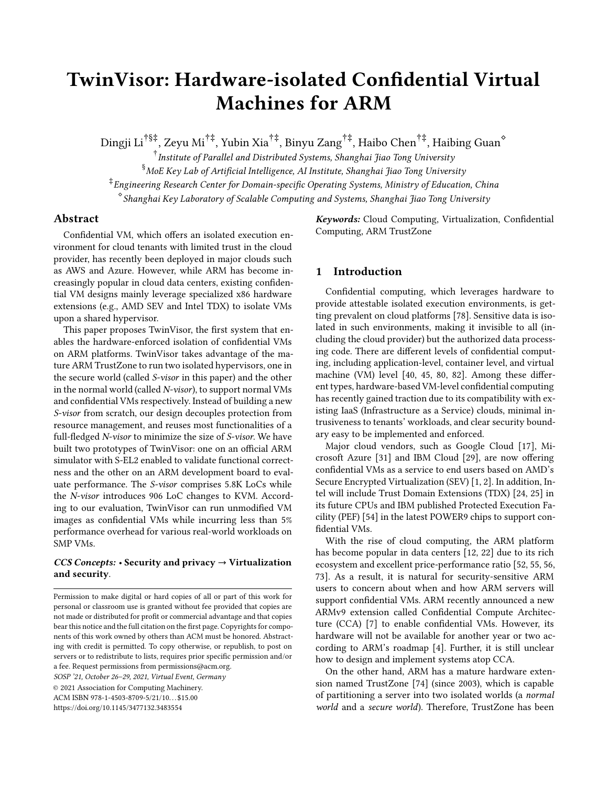# TwinVisor: Hardware-isolated Confidential Virtual Machines for ARM

Dingji Li†§‡, Zeyu Mi†‡, Yubin Xia†‡, Binyu Zang†‡, Haibo Chen†‡, Haibing Guan<sup>⋄</sup>

 $^\dagger$ Institute of Parallel and Distributed Systems, Shanghai Jiao Tong University  $^\S$ MoE Key Lab of Artificial Intelligence, AI Institute, Shanghai Jiao Tong University ‡ Engineering Research Center for Domain-specific Operating Systems, Ministry of Education, China ⋄ Shanghai Key Laboratory of Scalable Computing and Systems, Shanghai Jiao Tong University

# Abstract

Confidential VM, which offers an isolated execution environment for cloud tenants with limited trust in the cloud provider, has recently been deployed in major clouds such as AWS and Azure. However, while ARM has become increasingly popular in cloud data centers, existing confidential VM designs mainly leverage specialized x86 hardware extensions (e.g., AMD SEV and Intel TDX) to isolate VMs upon a shared hypervisor.

This paper proposes TwinVisor, the first system that enables the hardware-enforced isolation of confidential VMs on ARM platforms. TwinVisor takes advantage of the mature ARM TrustZone to run two isolated hypervisors, one in the secure world (called S-visor in this paper) and the other in the normal world (called N-visor), to support normal VMs and confidential VMs respectively. Instead of building a new S-visor from scratch, our design decouples protection from resource management, and reuses most functionalities of a full-fledged N-visor to minimize the size of S-visor. We have built two prototypes of TwinVisor: one on an official ARM simulator with S-EL2 enabled to validate functional correctness and the other on an ARM development board to evaluate performance. The S-visor comprises 5.8K LoCs while the N-visor introduces 906 LoC changes to KVM. According to our evaluation, TwinVisor can run unmodified VM images as confidential VMs while incurring less than 5% performance overhead for various real-world workloads on SMP VMs.

# $CCS$  Concepts: • Security and privacy  $\rightarrow$  Virtualization and security.

SOSP '21, October 26–29, 2021, Virtual Event, Germany

© 2021 Association for Computing Machinery. ACM ISBN 978-1-4503-8709-5/21/10...\$15.00 <https://doi.org/10.1145/3477132.3483554>

Keywords: Cloud Computing, Virtualization, Confidential Computing, ARM TrustZone

# 1 Introduction

Confidential computing, which leverages hardware to provide attestable isolated execution environments, is getting prevalent on cloud platforms [\[78](#page-16-0)]. Sensitive data is isolated in such environments, making it invisible to all (including the cloud provider) but the authorized data processing code. There are different levels of confidential computing, including application-level, container level, and virtual machine (VM) level [\[40,](#page-14-0) [45](#page-15-0), [80](#page-16-1), [82\]](#page-16-2). Among these different types, hardware-based VM-level confidential computing has recently gained traction due to its compatibility with existing IaaS (Infrastructure as a Service) clouds, minimal intrusiveness to tenants' workloads, and clear security boundary easy to be implemented and enforced.

Major cloud vendors, such as Google Cloud [\[17\]](#page-14-1), Microsoft Azure [\[31\]](#page-14-2) and IBM Cloud [\[29\]](#page-14-3), are now offering confidential VMs as a service to end users based on AMD's Secure Encrypted Virtualization (SEV) [\[1,](#page-14-4) [2\]](#page-14-5). In addition, Intel will include Trust Domain Extensions (TDX) [\[24](#page-14-6), [25\]](#page-14-7) in its future CPUs and IBM published Protected Execution Facility (PEF) [\[54\]](#page-15-1) in the latest POWER9 chips to support confidential VMs.

With the rise of cloud computing, the ARM platform has become popular in data centers [\[12,](#page-14-8) [22\]](#page-14-9) due to its rich ecosystem and excellent price-performance ratio [\[52,](#page-15-2) [55](#page-15-3), [56,](#page-15-4) [73](#page-16-3)]. As a result, it is natural for security-sensitive ARM users to concern about when and how ARM servers will support confidential VMs. ARM recently announced a new ARMv9 extension called Confidential Compute Architecture (CCA) [\[7\]](#page-14-10) to enable confidential VMs. However, its hardware will not be available for another year or two according to ARM's roadmap [\[4\]](#page-14-11). Further, it is still unclear how to design and implement systems atop CCA.

On the other hand, ARM has a mature hardware extension named TrustZone [\[74\]](#page-16-4) (since 2003), which is capable of partitioning a server into two isolated worlds (a normal world and a secure world). Therefore, TrustZone has been

Permission to make digital or hard copies of all or part of this work for personal or classroom use is granted without fee provided that copies are not made or distributed for profit or commercial advantage and that copies bear this notice and the full citation on the first page. Copyrights for components of this work owned by others than ACM must be honored. Abstracting with credit is permitted. To copy otherwise, or republish, to post on servers or to redistribute to lists, requires prior specific permission and/or a fee. Request permissions from permissions@acm.org.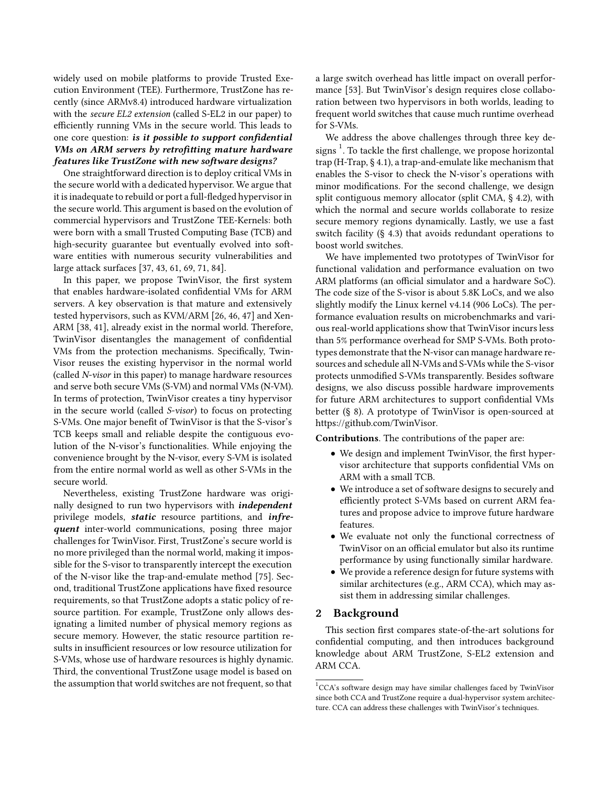widely used on mobile platforms to provide Trusted Execution Environment (TEE). Furthermore, TrustZone has recently (since ARMv8.4) introduced hardware virtualization with the secure EL2 extension (called S-EL2 in our paper) to efficiently running VMs in the secure world. This leads to one core question: is it possible to support confidential VMs on ARM servers by retrofitting mature hardware  $features$  like TrustZone with new software designs?

One straightforward direction is to deploy critical VMs in the secure world with a dedicated hypervisor. We argue that it is inadequate to rebuild or port a full-fledged hypervisor in the secure world. This argument is based on the evolution of commercial hypervisors and TrustZone TEE-Kernels: both were born with a small Trusted Computing Base (TCB) and high-security guarantee but eventually evolved into software entities with numerous security vulnerabilities and large attack surfaces [\[37](#page-14-12), [43](#page-15-5), [61](#page-15-6), [69](#page-15-7), [71](#page-16-5), [84](#page-16-6)].

In this paper, we propose TwinVisor, the first system that enables hardware-isolated confidential VMs for ARM servers. A key observation is that mature and extensively tested hypervisors, such as KVM/ARM [\[26,](#page-14-13) [46](#page-15-8), [47](#page-15-9)] and Xen-ARM [\[38,](#page-14-14) [41\]](#page-14-15), already exist in the normal world. Therefore, TwinVisor disentangles the management of confidential VMs from the protection mechanisms. Specifically, Twin-Visor reuses the existing hypervisor in the normal world (called N-visor in this paper) to manage hardware resources and serve both secure VMs (S-VM) and normal VMs (N-VM). In terms of protection, TwinVisor creates a tiny hypervisor in the secure world (called S-visor) to focus on protecting S-VMs. One major benefit of TwinVisor is that the S-visor's TCB keeps small and reliable despite the contiguous evolution of the N-visor's functionalities. While enjoying the convenience brought by the N-visor, every S-VM is isolated from the entire normal world as well as other S-VMs in the secure world.

Nevertheless, existing TrustZone hardware was originally designed to run two hypervisors with *independent* privilege models, static resource partitions, and infrequent inter-world communications, posing three major challenges for TwinVisor. First, TrustZone's secure world is no more privileged than the normal world, making it impossible for the S-visor to transparently intercept the execution of the N-visor like the trap-and-emulate method [\[75\]](#page-16-7). Second, traditional TrustZone applications have fixed resource requirements, so that TrustZone adopts a static policy of resource partition. For example, TrustZone only allows designating a limited number of physical memory regions as secure memory. However, the static resource partition results in insufficient resources or low resource utilization for S-VMs, whose use of hardware resources is highly dynamic. Third, the conventional TrustZone usage model is based on the assumption that world switches are not frequent, so that

a large switch overhead has little impact on overall performance [\[53](#page-15-10)]. But TwinVisor's design requires close collaboration between two hypervisors in both worlds, leading to frequent world switches that cause much runtime overhead for S-VMs.

We address the above challenges through three key designs  $^1$  $^1$ . To tackle the first challenge, we propose horizontal trap (H-Trap, § [4.1\)](#page-4-0), a trap-and-emulate like mechanism that enables the S-visor to check the N-visor's operations with minor modifications. For the second challenge, we design split contiguous memory allocator (split CMA, § [4.2\)](#page-5-0), with which the normal and secure worlds collaborate to resize secure memory regions dynamically. Lastly, we use a fast switch facility (§ [4.3\)](#page-7-0) that avoids redundant operations to boost world switches.

We have implemented two prototypes of TwinVisor for functional validation and performance evaluation on two ARM platforms (an official simulator and a hardware SoC). The code size of the S-visor is about 5.8K LoCs, and we also slightly modify the Linux kernel v4.14 (906 LoCs). The performance evaluation results on microbenchmarks and various real-world applications show that TwinVisor incurs less than 5% performance overhead for SMP S-VMs. Both prototypes demonstrate that the N-visor can manage hardware resources and schedule all N-VMs and S-VMs while the S-visor protects unmodified S-VMs transparently. Besides software designs, we also discuss possible hardware improvements for future ARM architectures to support confidential VMs better (§ [8\)](#page-12-0). A prototype of TwinVisor is open-sourced at [https://github.com/TwinVisor.](https://github.com/TwinVisor)

Contributions. The contributions of the paper are:

- We design and implement TwinVisor, the first hypervisor architecture that supports confidential VMs on ARM with a small TCB.
- We introduce a set of software designs to securely and efficiently protect S-VMs based on current ARM features and propose advice to improve future hardware features.
- We evaluate not only the functional correctness of TwinVisor on an official emulator but also its runtime performance by using functionally similar hardware.
- We provide a reference design for future systems with similar architectures (e.g., ARM CCA), which may assist them in addressing similar challenges.

# 2 Background

This section first compares state-of-the-art solutions for confidential computing, and then introduces background knowledge about ARM TrustZone, S-EL2 extension and ARM CCA.

<span id="page-1-1"></span><span id="page-1-0"></span><sup>&</sup>lt;sup>1</sup>CCA's software design may have similar challenges faced by TwinVisor since both CCA and TrustZone require a dual-hypervisor system architecture. CCA can address these challenges with TwinVisor's techniques.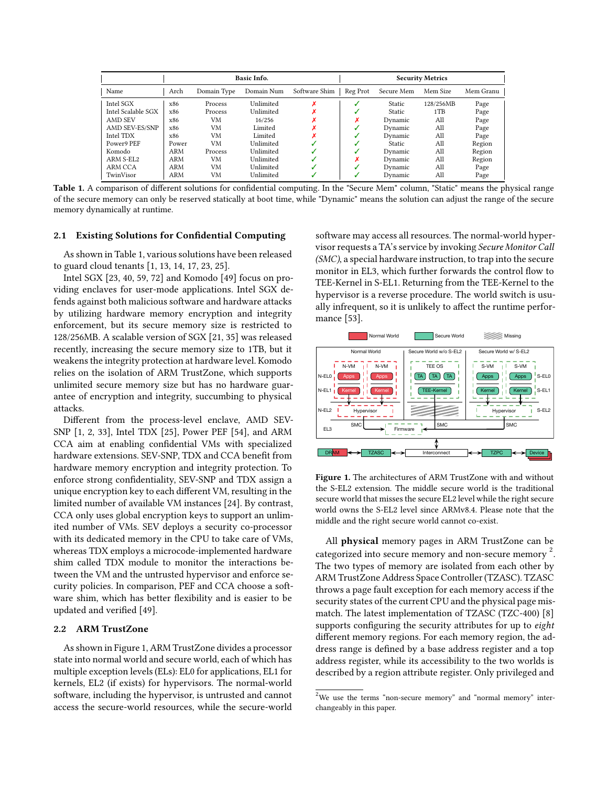<span id="page-2-0"></span>

|                    | Basic Info. |             |            |               | <b>Security Metrics</b> |               |           |           |
|--------------------|-------------|-------------|------------|---------------|-------------------------|---------------|-----------|-----------|
| Name               | Arch        | Domain Type | Domain Num | Software Shim | Reg Prot                | Secure Mem    | Mem Size  | Mem Granu |
| Intel SGX          | x86         | Process     | Unlimited  |               |                         | <b>Static</b> | 128/256MB | Page      |
| Intel Scalable SGX | x86         | Process     | Unlimited  |               |                         | <b>Static</b> | 1TB       | Page      |
| AMD SEV            | x86         | VM          | 16/256     |               |                         | Dynamic       | All       | Page      |
| AMD SEV-ES/SNP     | x86         | VM          | Limited    |               |                         | Dynamic       | All       | Page      |
| Intel TDX          | x86         | VM          | Limited    |               |                         | Dynamic       | All       | Page      |
| Power9 PEF         | Power       | VM          | Unlimited  |               |                         | <b>Static</b> | All       | Region    |
| Komodo             | ARM         | Process     | Unlimited  |               |                         | Dynamic       | All       | Region    |
| ARM S-EL2          | ARM         | VM          | Unlimited  |               |                         | Dynamic       | All       | Region    |
| ARM CCA            | ARM         | VM          | Unlimited  |               |                         | Dynamic       | All       | Page      |
| TwinVisor          | ARM         | VM          | Unlimited  |               |                         | Dynamic       | All       | Page      |

Table 1. A comparison of different solutions for confidential computing. In the "Secure Mem" column, "Static" means the physical range of the secure memory can only be reserved statically at boot time, while "Dynamic" means the solution can adjust the range of the secure memory dynamically at runtime.

## 2.1 Existing Solutions for Confidential Computing

As shown in Table [1,](#page-2-0) various solutions have been released to guard cloud tenants [\[1](#page-14-4), [13,](#page-14-16) [14,](#page-14-17) [17,](#page-14-1) [23,](#page-14-18) [25\]](#page-14-7).

Intel SGX [\[23,](#page-14-18) [40](#page-14-0), [59](#page-15-11), [72](#page-16-8)] and Komodo [\[49\]](#page-15-12) focus on providing enclaves for user-mode applications. Intel SGX defends against both malicious software and hardware attacks by utilizing hardware memory encryption and integrity enforcement, but its secure memory size is restricted to 128/256MB. A scalable version of SGX [\[21](#page-14-19), [35\]](#page-14-20) was released recently, increasing the secure memory size to 1TB, but it weakens the integrity protection at hardware level. Komodo relies on the isolation of ARM TrustZone, which supports unlimited secure memory size but has no hardware guarantee of encryption and integrity, succumbing to physical attacks.

Different from the process-level enclave, AMD SEV-SNP [\[1,](#page-14-4) [2](#page-14-5), [33\]](#page-14-21), Intel TDX [\[25\]](#page-14-7), Power PEF [\[54](#page-15-1)], and ARM CCA aim at enabling confidential VMs with specialized hardware extensions. SEV-SNP, TDX and CCA benefit from hardware memory encryption and integrity protection. To enforce strong confidentiality, SEV-SNP and TDX assign a unique encryption key to each different VM, resulting in the limited number of available VM instances [\[24](#page-14-6)]. By contrast, CCA only uses global encryption keys to support an unlimited number of VMs. SEV deploys a security co-processor with its dedicated memory in the CPU to take care of VMs, whereas TDX employs a microcode-implemented hardware shim called TDX module to monitor the interactions between the VM and the untrusted hypervisor and enforce security policies. In comparison, PEF and CCA choose a software shim, which has better flexibility and is easier to be updated and verified [\[49\]](#page-15-12).

## 2.2 ARM TrustZone

As shown in Figure [1,](#page-2-1) ARM TrustZone divides a processor state into normal world and secure world, each of which has multiple exception levels (ELs): EL0 for applications, EL1 for kernels, EL2 (if exists) for hypervisors. The normal-world software, including the hypervisor, is untrusted and cannot access the secure-world resources, while the secure-world

software may access all resources. The normal-world hypervisor requests a TA's service by invoking Secure Monitor Call (SMC), a special hardware instruction, to trap into the secure monitor in EL3, which further forwards the control flow to TEE-Kernel in S-EL1. Returning from the TEE-Kernel to the hypervisor is a reverse procedure. The world switch is usually infrequent, so it is unlikely to affect the runtime performance [\[53\]](#page-15-10).

<span id="page-2-1"></span>

Figure 1. The architectures of ARM TrustZone with and without the S-EL2 extension. The middle secure world is the traditional secure world that misses the secure EL2 level while the right secure world owns the S-EL2 level since ARMv8.4. Please note that the middle and the right secure world cannot co-exist.

All physical memory pages in ARM TrustZone can be categorized into secure memory and non-secure memory<sup>[2](#page-2-2)</sup>. The two types of memory are isolated from each other by ARM TrustZone Address Space Controller (TZASC). TZASC throws a page fault exception for each memory access if the security states of the current CPU and the physical page mismatch. The latest implementation of TZASC (TZC-400) [\[8](#page-14-22)] supports configuring the security attributes for up to *eight* different memory regions. For each memory region, the address range is defined by a base address register and a top address register, while its accessibility to the two worlds is described by a region attribute register. Only privileged and

<span id="page-2-2"></span> $2$ We use the terms "non-secure memory" and "normal memory" interchangeably in this paper.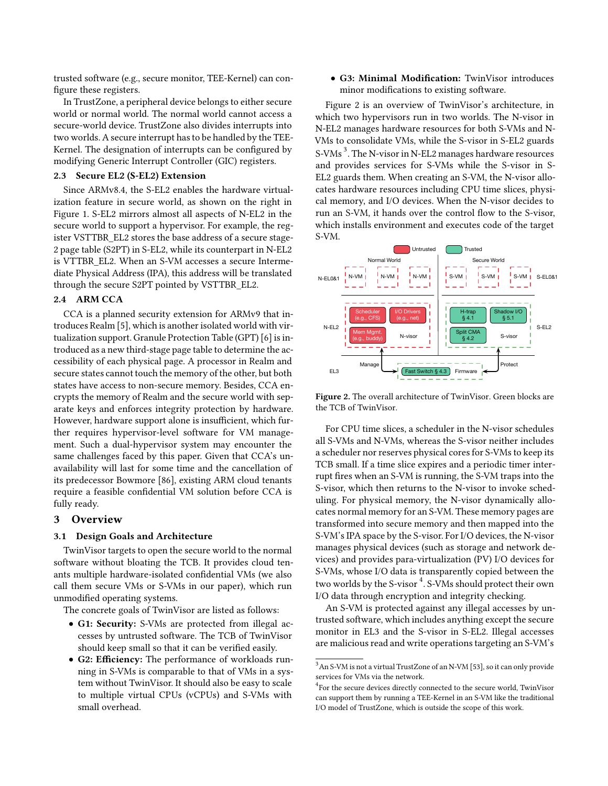trusted software (e.g., secure monitor, TEE-Kernel) can configure these registers.

In TrustZone, a peripheral device belongs to either secure world or normal world. The normal world cannot access a secure-world device. TrustZone also divides interrupts into two worlds. A secure interrupt has to be handled by the TEE-Kernel. The designation of interrupts can be configured by modifying Generic Interrupt Controller (GIC) registers.

## 2.3 Secure EL2 (S-EL2) Extension

Since ARMv8.4, the S-EL2 enables the hardware virtualization feature in secure world, as shown on the right in Figure [1.](#page-2-1) S-EL2 mirrors almost all aspects of N-EL2 in the secure world to support a hypervisor. For example, the register VSTTBR\_EL2 stores the base address of a secure stage-2 page table (S2PT) in S-EL2, while its counterpart in N-EL2 is VTTBR\_EL2. When an S-VM accesses a secure Intermediate Physical Address (IPA), this address will be translated through the secure S2PT pointed by VSTTBR\_EL2.

# 2.4 ARM CCA

CCA is a planned security extension for ARMv9 that introduces Realm [\[5\]](#page-14-23), which is another isolated world with virtualization support. Granule Protection Table (GPT) [\[6\]](#page-14-24) is introduced as a new third-stage page table to determine the accessibility of each physical page. A processor in Realm and secure states cannot touch the memory of the other, but both states have access to non-secure memory. Besides, CCA encrypts the memory of Realm and the secure world with separate keys and enforces integrity protection by hardware. However, hardware support alone is insufficient, which further requires hypervisor-level software for VM management. Such a dual-hypervisor system may encounter the same challenges faced by this paper. Given that CCA's unavailability will last for some time and the cancellation of its predecessor Bowmore [\[86](#page-16-9)], existing ARM cloud tenants require a feasible confidential VM solution before CCA is fully ready.

## 3 Overview

#### 3.1 Design Goals and Architecture

TwinVisor targets to open the secure world to the normal software without bloating the TCB. It provides cloud tenants multiple hardware-isolated confidential VMs (we also call them secure VMs or S-VMs in our paper), which run unmodified operating systems.

The concrete goals of TwinVisor are listed as follows:

- G1: Security: S-VMs are protected from illegal accesses by untrusted software. The TCB of TwinVisor should keep small so that it can be verified easily.
- G2: Efficiency: The performance of workloads running in S-VMs is comparable to that of VMs in a system without TwinVisor. It should also be easy to scale to multiple virtual CPUs (vCPUs) and S-VMs with small overhead.

• G3: Minimal Modification: TwinVisor introduces minor modifications to existing software.

Figure [2](#page-3-0) is an overview of TwinVisor's architecture, in which two hypervisors run in two worlds. The N-visor in N-EL2 manages hardware resources for both S-VMs and N-VMs to consolidate VMs, while the S-visor in S-EL2 guards S-VMs<sup>[3](#page-3-1)</sup>. The N-visor in N-EL2 manages hardware resources and provides services for S-VMs while the S-visor in S-EL2 guards them. When creating an S-VM, the N-visor allocates hardware resources including CPU time slices, physical memory, and I/O devices. When the N-visor decides to run an S-VM, it hands over the control flow to the S-visor, which installs environment and executes code of the target S-VM.

<span id="page-3-0"></span>

Figure 2. The overall architecture of TwinVisor. Green blocks are the TCB of TwinVisor.

For CPU time slices, a scheduler in the N-visor schedules all S-VMs and N-VMs, whereas the S-visor neither includes a scheduler nor reserves physical cores for S-VMs to keep its TCB small. If a time slice expires and a periodic timer interrupt fires when an S-VM is running, the S-VM traps into the S-visor, which then returns to the N-visor to invoke scheduling. For physical memory, the N-visor dynamically allocates normal memory for an S-VM. These memory pages are transformed into secure memory and then mapped into the S-VM's IPA space by the S-visor. For I/O devices, the N-visor manages physical devices (such as storage and network devices) and provides para-virtualization (PV) I/O devices for S-VMs, whose I/O data is transparently copied between the two worlds by the S-visor  $\mathrm{^{4}}$  $\mathrm{^{4}}$  $\mathrm{^{4}}$ . S-VMs should protect their own I/O data through encryption and integrity checking.

An S-VM is protected against any illegal accesses by untrusted software, which includes anything except the secure monitor in EL3 and the S-visor in S-EL2. Illegal accesses are malicious read and write operations targeting an S-VM's

<span id="page-3-1"></span> $^3{\rm An}$  S-VM is not a virtual TrustZone of an N-VM [\[53\]](#page-15-10), so it can only provide services for VMs via the network.

<span id="page-3-2"></span><sup>4</sup> For the secure devices directly connected to the secure world, TwinVisor can support them by running a TEE-Kernel in an S-VM like the traditional I/O model of TrustZone, which is outside the scope of this work.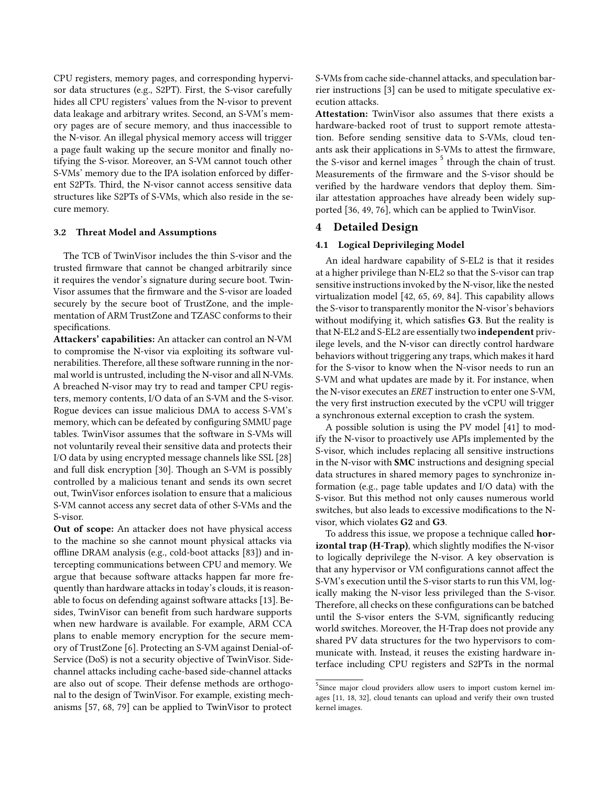CPU registers, memory pages, and corresponding hypervisor data structures (e.g., S2PT). First, the S-visor carefully hides all CPU registers' values from the N-visor to prevent data leakage and arbitrary writes. Second, an S-VM's memory pages are of secure memory, and thus inaccessible to the N-visor. An illegal physical memory access will trigger a page fault waking up the secure monitor and finally notifying the S-visor. Moreover, an S-VM cannot touch other S-VMs' memory due to the IPA isolation enforced by different S2PTs. Third, the N-visor cannot access sensitive data structures like S2PTs of S-VMs, which also reside in the secure memory.

#### 3.2 Threat Model and Assumptions

The TCB of TwinVisor includes the thin S-visor and the trusted firmware that cannot be changed arbitrarily since it requires the vendor's signature during secure boot. Twin-Visor assumes that the firmware and the S-visor are loaded securely by the secure boot of TrustZone, and the implementation of ARM TrustZone and TZASC conforms to their specifications.

Attackers' capabilities: An attacker can control an N-VM to compromise the N-visor via exploiting its software vulnerabilities. Therefore, all these software running in the normal world is untrusted, including the N-visor and all N-VMs. A breached N-visor may try to read and tamper CPU registers, memory contents, I/O data of an S-VM and the S-visor. Rogue devices can issue malicious DMA to access S-VM's memory, which can be defeated by configuring SMMU page tables. TwinVisor assumes that the software in S-VMs will not voluntarily reveal their sensitive data and protects their I/O data by using encrypted message channels like SSL [\[28](#page-14-25)] and full disk encryption [\[30\]](#page-14-26). Though an S-VM is possibly controlled by a malicious tenant and sends its own secret out, TwinVisor enforces isolation to ensure that a malicious S-VM cannot access any secret data of other S-VMs and the S-visor.

Out of scope: An attacker does not have physical access to the machine so she cannot mount physical attacks via offline DRAM analysis (e.g., cold-boot attacks [\[83\]](#page-16-10)) and intercepting communications between CPU and memory. We argue that because software attacks happen far more frequently than hardware attacks in today's clouds, it is reasonable to focus on defending against software attacks [\[13](#page-14-16)]. Besides, TwinVisor can benefit from such hardware supports when new hardware is available. For example, ARM CCA plans to enable memory encryption for the secure memory of TrustZone [\[6\]](#page-14-24). Protecting an S-VM against Denial-of-Service (DoS) is not a security objective of TwinVisor. Sidechannel attacks including cache-based side-channel attacks are also out of scope. Their defense methods are orthogonal to the design of TwinVisor. For example, existing mechanisms [\[57](#page-15-13), [68,](#page-15-14) [79](#page-16-11)] can be applied to TwinVisor to protect

S-VMs from cache side-channel attacks, and speculation barrier instructions [\[3\]](#page-14-27) can be used to mitigate speculative execution attacks.

Attestation: TwinVisor also assumes that there exists a hardware-backed root of trust to support remote attestation. Before sending sensitive data to S-VMs, cloud tenants ask their applications in S-VMs to attest the firmware, the S-visor and kernel images <sup>[5](#page-4-1)</sup> through the chain of trust. Measurements of the firmware and the S-visor should be verified by the hardware vendors that deploy them. Similar attestation approaches have already been widely supported [\[36,](#page-14-28) [49,](#page-15-12) [76\]](#page-16-12), which can be applied to TwinVisor.

# <span id="page-4-0"></span>4 Detailed Design

## 4.1 Logical Deprivileging Model

An ideal hardware capability of S-EL2 is that it resides at a higher privilege than N-EL2 so that the S-visor can trap sensitive instructions invoked by the N-visor, like the nested virtualization model [\[42](#page-14-29), [65,](#page-15-15) [69](#page-15-7), [84\]](#page-16-6). This capability allows the S-visor to transparently monitor the N-visor's behaviors without modifying it, which satisfies G3. But the reality is that N-EL2 and S-EL2 are essentially two independent privilege levels, and the N-visor can directly control hardware behaviors without triggering any traps, which makes it hard for the S-visor to know when the N-visor needs to run an S-VM and what updates are made by it. For instance, when the N-visor executes an ERET instruction to enter one S-VM, the very first instruction executed by the vCPU will trigger a synchronous external exception to crash the system.

A possible solution is using the PV model [\[41\]](#page-14-15) to modify the N-visor to proactively use APIs implemented by the S-visor, which includes replacing all sensitive instructions in the N-visor with SMC instructions and designing special data structures in shared memory pages to synchronize information (e.g., page table updates and I/O data) with the S-visor. But this method not only causes numerous world switches, but also leads to excessive modifications to the Nvisor, which violates G2 and G3.

To address this issue, we propose a technique called horizontal trap (H-Trap), which slightly modifies the N-visor to logically deprivilege the N-visor. A key observation is that any hypervisor or VM configurations cannot affect the S-VM's execution until the S-visor starts to run this VM, logically making the N-visor less privileged than the S-visor. Therefore, all checks on these configurations can be batched until the S-visor enters the S-VM, significantly reducing world switches. Moreover, the H-Trap does not provide any shared PV data structures for the two hypervisors to communicate with. Instead, it reuses the existing hardware interface including CPU registers and S2PTs in the normal

<span id="page-4-1"></span><sup>&</sup>lt;sup>5</sup>Since major cloud providers allow users to import custom kernel images [\[11](#page-14-30), [18](#page-14-31), [32](#page-14-32)], cloud tenants can upload and verify their own trusted kernel images.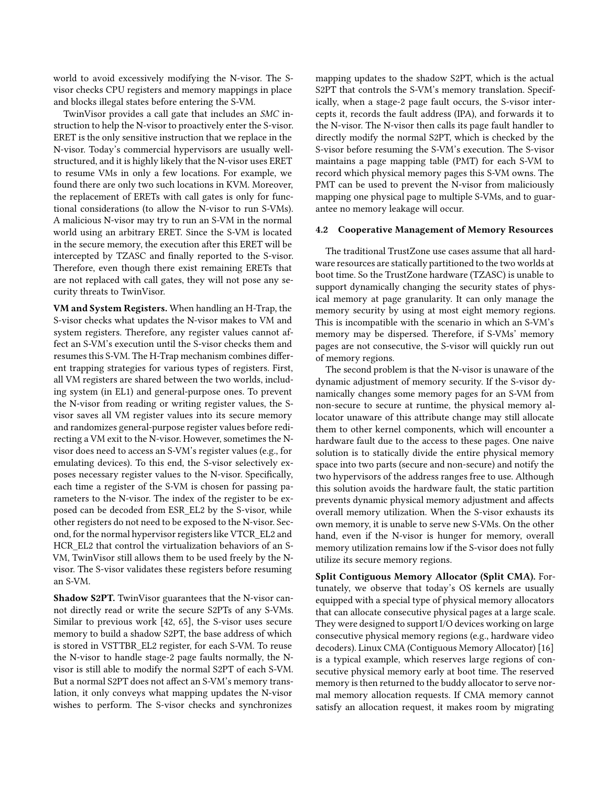world to avoid excessively modifying the N-visor. The Svisor checks CPU registers and memory mappings in place and blocks illegal states before entering the S-VM.

TwinVisor provides a call gate that includes an SMC instruction to help the N-visor to proactively enter the S-visor. ERET is the only sensitive instruction that we replace in the N-visor. Today's commercial hypervisors are usually wellstructured, and it is highly likely that the N-visor uses ERET to resume VMs in only a few locations. For example, we found there are only two such locations in KVM. Moreover, the replacement of ERETs with call gates is only for functional considerations (to allow the N-visor to run S-VMs). A malicious N-visor may try to run an S-VM in the normal world using an arbitrary ERET. Since the S-VM is located in the secure memory, the execution after this ERET will be intercepted by TZASC and finally reported to the S-visor. Therefore, even though there exist remaining ERETs that are not replaced with call gates, they will not pose any security threats to TwinVisor.

VM and System Registers. When handling an H-Trap, the S-visor checks what updates the N-visor makes to VM and system registers. Therefore, any register values cannot affect an S-VM's execution until the S-visor checks them and resumes this S-VM. The H-Trap mechanism combines different trapping strategies for various types of registers. First, all VM registers are shared between the two worlds, including system (in EL1) and general-purpose ones. To prevent the N-visor from reading or writing register values, the Svisor saves all VM register values into its secure memory and randomizes general-purpose register values before redirecting a VM exit to the N-visor. However, sometimes the Nvisor does need to access an S-VM's register values (e.g., for emulating devices). To this end, the S-visor selectively exposes necessary register values to the N-visor. Specifically, each time a register of the S-VM is chosen for passing parameters to the N-visor. The index of the register to be exposed can be decoded from ESR\_EL2 by the S-visor, while other registers do not need to be exposed to the N-visor. Second, for the normal hypervisor registers like VTCR\_EL2 and HCR\_EL2 that control the virtualization behaviors of an S-VM, TwinVisor still allows them to be used freely by the Nvisor. The S-visor validates these registers before resuming an S-VM.

Shadow S2PT. TwinVisor guarantees that the N-visor cannot directly read or write the secure S2PTs of any S-VMs. Similar to previous work [\[42](#page-14-29), [65](#page-15-15)], the S-visor uses secure memory to build a shadow S2PT, the base address of which is stored in VSTTBR\_EL2 register, for each S-VM. To reuse the N-visor to handle stage-2 page faults normally, the Nvisor is still able to modify the normal S2PT of each S-VM. But a normal S2PT does not affect an S-VM's memory translation, it only conveys what mapping updates the N-visor wishes to perform. The S-visor checks and synchronizes

mapping updates to the shadow S2PT, which is the actual S2PT that controls the S-VM's memory translation. Specifically, when a stage-2 page fault occurs, the S-visor intercepts it, records the fault address (IPA), and forwards it to the N-visor. The N-visor then calls its page fault handler to directly modify the normal S2PT, which is checked by the S-visor before resuming the S-VM's execution. The S-visor maintains a page mapping table (PMT) for each S-VM to record which physical memory pages this S-VM owns. The PMT can be used to prevent the N-visor from maliciously mapping one physical page to multiple S-VMs, and to guarantee no memory leakage will occur.

## <span id="page-5-0"></span>4.2 Cooperative Management of Memory Resources

The traditional TrustZone use cases assume that all hardware resources are statically partitioned to the two worlds at boot time. So the TrustZone hardware (TZASC) is unable to support dynamically changing the security states of physical memory at page granularity. It can only manage the memory security by using at most eight memory regions. This is incompatible with the scenario in which an S-VM's memory may be dispersed. Therefore, if S-VMs' memory pages are not consecutive, the S-visor will quickly run out of memory regions.

The second problem is that the N-visor is unaware of the dynamic adjustment of memory security. If the S-visor dynamically changes some memory pages for an S-VM from non-secure to secure at runtime, the physical memory allocator unaware of this attribute change may still allocate them to other kernel components, which will encounter a hardware fault due to the access to these pages. One naive solution is to statically divide the entire physical memory space into two parts (secure and non-secure) and notify the two hypervisors of the address ranges free to use. Although this solution avoids the hardware fault, the static partition prevents dynamic physical memory adjustment and affects overall memory utilization. When the S-visor exhausts its own memory, it is unable to serve new S-VMs. On the other hand, even if the N-visor is hunger for memory, overall memory utilization remains low if the S-visor does not fully utilize its secure memory regions.

Split Contiguous Memory Allocator (Split CMA). Fortunately, we observe that today's OS kernels are usually equipped with a special type of physical memory allocators that can allocate consecutive physical pages at a large scale. They were designed to support I/O devices working on large consecutive physical memory regions (e.g., hardware video decoders). Linux CMA (Contiguous Memory Allocator) [\[16](#page-14-33)] is a typical example, which reserves large regions of consecutive physical memory early at boot time. The reserved memory is then returned to the buddy allocator to serve normal memory allocation requests. If CMA memory cannot satisfy an allocation request, it makes room by migrating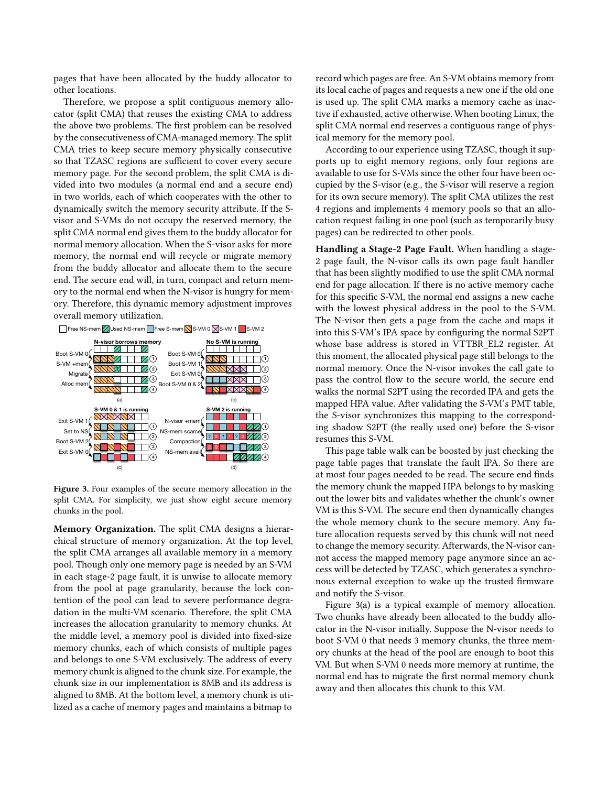pages that have been allocated by the buddy allocator to other locations.

Therefore, we propose a split contiguous memory allocator (split CMA) that reuses the existing CMA to address the above two problems. The first problem can be resolved by the consecutiveness of CMA-managed memory. The split CMA tries to keep secure memory physically consecutive so that TZASC regions are sufficient to cover every secure memory page. For the second problem, the split CMA is divided into two modules (a normal end and a secure end) in two worlds, each of which cooperates with the other to dynamically switch the memory security attribute. If the Svisor and S-VMs do not occupy the reserved memory, the split CMA normal end gives them to the buddy allocator for normal memory allocation. When the S-visor asks for more memory, the normal end will recycle or migrate memory from the buddy allocator and allocate them to the secure end. The secure end will, in turn, compact and return memory to the normal end when the N-visor is hungry for memory. Therefore, this dynamic memory adjustment improves overall memory utilization.

<span id="page-6-0"></span>

Figure 3. Four examples of the secure memory allocation in the split CMA. For simplicity, we just show eight secure memory chunks in the pool.

Memory Organization. The split CMA designs a hierarchical structure of memory organization. At the top level, the split CMA arranges all available memory in a memory pool. Though only one memory page is needed by an S-VM in each stage-2 page fault, it is unwise to allocate memory from the pool at page granularity, because the lock contention of the pool can lead to severe performance degradation in the multi-VM scenario. Therefore, the split CMA increases the allocation granularity to memory chunks. At the middle level, a memory pool is divided into fixed-size memory chunks, each of which consists of multiple pages and belongs to one S-VM exclusively. The address of every memory chunk is aligned to the chunk size. For example, the chunk size in our implementation is 8MB and its address is aligned to 8MB. At the bottom level, a memory chunk is utilized as a cache of memory pages and maintains a bitmap to

record which pages are free. An S-VM obtains memory from its local cache of pages and requests a new one if the old one is used up. The split CMA marks a memory cache as inactive if exhausted, active otherwise. When booting Linux, the split CMA normal end reserves a contiguous range of physical memory for the memory pool.

According to our experience using TZASC, though it supports up to eight memory regions, only four regions are available to use for S-VMs since the other four have been occupied by the S-visor (e.g., the S-visor will reserve a region for its own secure memory). The split CMA utilizes the rest 4 regions and implements 4 memory pools so that an allocation request failing in one pool (such as temporarily busy pages) can be redirected to other pools.

Handling a Stage-2 Page Fault. When handling a stage-2 page fault, the N-visor calls its own page fault handler that has been slightly modified to use the split CMA normal end for page allocation. If there is no active memory cache for this specific S-VM, the normal end assigns a new cache with the lowest physical address in the pool to the S-VM. The N-visor then gets a page from the cache and maps it into this S-VM's IPA space by configuring the normal S2PT whose base address is stored in VTTBR\_EL2 register. At this moment, the allocated physical page still belongs to the normal memory. Once the N-visor invokes the call gate to pass the control flow to the secure world, the secure end walks the normal S2PT using the recorded IPA and gets the mapped HPA value. After validating the S-VM's PMT table, the S-visor synchronizes this mapping to the corresponding shadow S2PT (the really used one) before the S-visor resumes this S-VM.

This page table walk can be boosted by just checking the page table pages that translate the fault IPA. So there are at most four pages needed to be read. The secure end finds the memory chunk the mapped HPA belongs to by masking out the lower bits and validates whether the chunk's owner VM is this S-VM. The secure end then dynamically changes the whole memory chunk to the secure memory. Any future allocation requests served by this chunk will not need to change the memory security. Afterwards, the N-visor cannot access the mapped memory page anymore since an access will be detected by TZASC, which generates a synchronous external exception to wake up the trusted firmware and notify the S-visor.

Figure [3\(](#page-6-0)a) is a typical example of memory allocation. Two chunks have already been allocated to the buddy allocator in the N-visor initially. Suppose the N-visor needs to boot S-VM 0 that needs 3 memory chunks, the three memory chunks at the head of the pool are enough to boot this VM. But when S-VM 0 needs more memory at runtime, the normal end has to migrate the first normal memory chunk away and then allocates this chunk to this VM.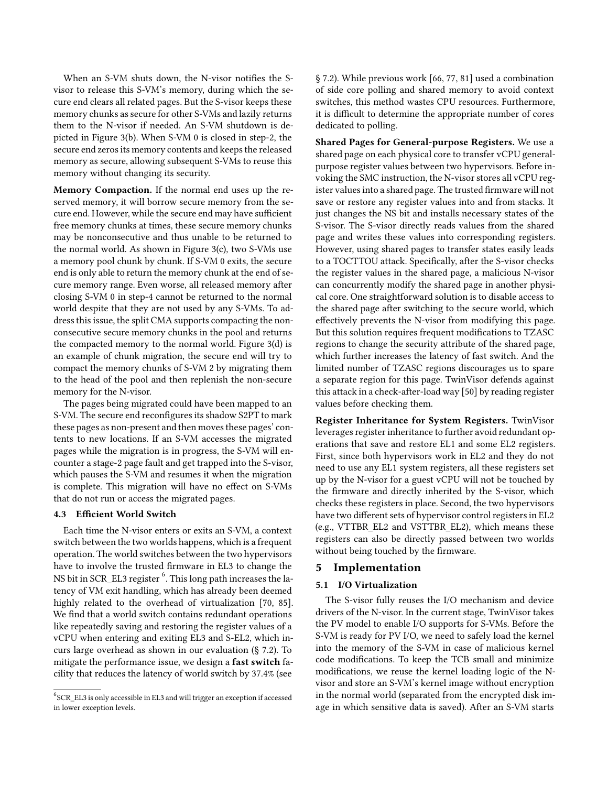When an S-VM shuts down, the N-visor notifies the Svisor to release this S-VM's memory, during which the secure end clears all related pages. But the S-visor keeps these memory chunks as secure for other S-VMs and lazily returns them to the N-visor if needed. An S-VM shutdown is depicted in Figure [3\(](#page-6-0)b). When S-VM 0 is closed in step-2, the secure end zeros its memory contents and keeps the released memory as secure, allowing subsequent S-VMs to reuse this memory without changing its security.

Memory Compaction. If the normal end uses up the reserved memory, it will borrow secure memory from the secure end. However, while the secure end may have sufficient free memory chunks at times, these secure memory chunks may be nonconsecutive and thus unable to be returned to the normal world. As shown in Figure [3\(](#page-6-0)c), two S-VMs use a memory pool chunk by chunk. If S-VM 0 exits, the secure end is only able to return the memory chunk at the end of secure memory range. Even worse, all released memory after closing S-VM 0 in step-4 cannot be returned to the normal world despite that they are not used by any S-VMs. To address this issue, the split CMA supports compacting the nonconsecutive secure memory chunks in the pool and returns the compacted memory to the normal world. Figure [3\(](#page-6-0)d) is an example of chunk migration, the secure end will try to compact the memory chunks of S-VM 2 by migrating them to the head of the pool and then replenish the non-secure memory for the N-visor.

The pages being migrated could have been mapped to an S-VM. The secure end reconfigures its shadow S2PT to mark these pages as non-present and then moves these pages' contents to new locations. If an S-VM accesses the migrated pages while the migration is in progress, the S-VM will encounter a stage-2 page fault and get trapped into the S-visor, which pauses the S-VM and resumes it when the migration is complete. This migration will have no effect on S-VMs that do not run or access the migrated pages.

## <span id="page-7-0"></span>4.3 Efficient World Switch

Each time the N-visor enters or exits an S-VM, a context switch between the two worlds happens, which is a frequent operation. The world switches between the two hypervisors have to involve the trusted firmware in EL3 to change the NS bit in SCR\_EL3 register  $^6$  $^6$  . This long path increases the latency of VM exit handling, which has already been deemed highly related to the overhead of virtualization [\[70,](#page-15-16) [85\]](#page-16-13). We find that a world switch contains redundant operations like repeatedly saving and restoring the register values of a vCPU when entering and exiting EL3 and S-EL2, which incurs large overhead as shown in our evaluation (§ [7.2\)](#page-10-0). To mitigate the performance issue, we design a fast switch facility that reduces the latency of world switch by 37.4% (see

§ [7.2\)](#page-10-0). While previous work [\[66](#page-15-17), [77](#page-16-14), [81\]](#page-16-15) used a combination of side core polling and shared memory to avoid context switches, this method wastes CPU resources. Furthermore, it is difficult to determine the appropriate number of cores dedicated to polling.

Shared Pages for General-purpose Registers. We use a shared page on each physical core to transfer vCPU generalpurpose register values between two hypervisors. Before invoking the SMC instruction, the N-visor stores all vCPU register values into a shared page. The trusted firmware will not save or restore any register values into and from stacks. It just changes the NS bit and installs necessary states of the S-visor. The S-visor directly reads values from the shared page and writes these values into corresponding registers. However, using shared pages to transfer states easily leads to a TOCTTOU attack. Specifically, after the S-visor checks the register values in the shared page, a malicious N-visor can concurrently modify the shared page in another physical core. One straightforward solution is to disable access to the shared page after switching to the secure world, which effectively prevents the N-visor from modifying this page. But this solution requires frequent modifications to TZASC regions to change the security attribute of the shared page, which further increases the latency of fast switch. And the limited number of TZASC regions discourages us to spare a separate region for this page. TwinVisor defends against this attack in a check-after-load way [\[50\]](#page-15-18) by reading register values before checking them.

Register Inheritance for System Registers. TwinVisor leverages register inheritance to further avoid redundant operations that save and restore EL1 and some EL2 registers. First, since both hypervisors work in EL2 and they do not need to use any EL1 system registers, all these registers set up by the N-visor for a guest vCPU will not be touched by the firmware and directly inherited by the S-visor, which checks these registers in place. Second, the two hypervisors have two different sets of hypervisor control registers in EL2 (e.g., VTTBR\_EL2 and VSTTBR\_EL2), which means these registers can also be directly passed between two worlds without being touched by the firmware.

# <span id="page-7-2"></span>5 Implementation

# 5.1 I/O Virtualization

The S-visor fully reuses the I/O mechanism and device drivers of the N-visor. In the current stage, TwinVisor takes the PV model to enable I/O supports for S-VMs. Before the S-VM is ready for PV I/O, we need to safely load the kernel into the memory of the S-VM in case of malicious kernel code modifications. To keep the TCB small and minimize modifications, we reuse the kernel loading logic of the Nvisor and store an S-VM's kernel image without encryption in the normal world (separated from the encrypted disk image in which sensitive data is saved). After an S-VM starts

<span id="page-7-1"></span> ${}^{6}$ SCR\_EL3 is only accessible in EL3 and will trigger an exception if accessed in lower exception levels.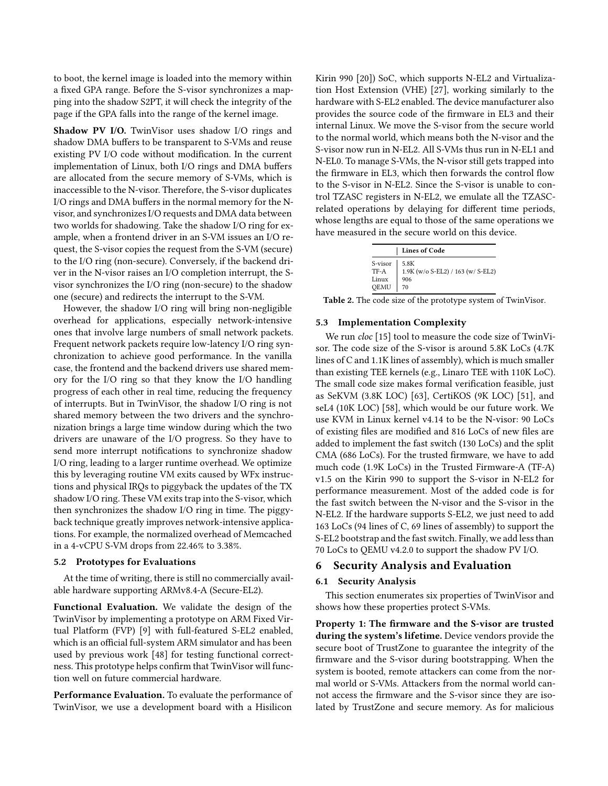to boot, the kernel image is loaded into the memory within a fixed GPA range. Before the S-visor synchronizes a mapping into the shadow S2PT, it will check the integrity of the page if the GPA falls into the range of the kernel image.

Shadow PV I/O. TwinVisor uses shadow I/O rings and shadow DMA buffers to be transparent to S-VMs and reuse existing PV I/O code without modification. In the current implementation of Linux, both I/O rings and DMA buffers are allocated from the secure memory of S-VMs, which is inaccessible to the N-visor. Therefore, the S-visor duplicates I/O rings and DMA buffers in the normal memory for the Nvisor, and synchronizes I/O requests and DMA data between two worlds for shadowing. Take the shadow I/O ring for example, when a frontend driver in an S-VM issues an I/O request, the S-visor copies the request from the S-VM (secure) to the I/O ring (non-secure). Conversely, if the backend driver in the N-visor raises an I/O completion interrupt, the Svisor synchronizes the I/O ring (non-secure) to the shadow one (secure) and redirects the interrupt to the S-VM.

However, the shadow I/O ring will bring non-negligible overhead for applications, especially network-intensive ones that involve large numbers of small network packets. Frequent network packets require low-latency I/O ring synchronization to achieve good performance. In the vanilla case, the frontend and the backend drivers use shared memory for the I/O ring so that they know the I/O handling progress of each other in real time, reducing the frequency of interrupts. But in TwinVisor, the shadow I/O ring is not shared memory between the two drivers and the synchronization brings a large time window during which the two drivers are unaware of the I/O progress. So they have to send more interrupt notifications to synchronize shadow I/O ring, leading to a larger runtime overhead. We optimize this by leveraging routine VM exits caused by WFx instructions and physical IRQs to piggyback the updates of the TX shadow I/O ring. These VM exits trap into the S-visor, which then synchronizes the shadow I/O ring in time. The piggyback technique greatly improves network-intensive applications. For example, the normalized overhead of Memcached in a 4-vCPU S-VM drops from 22.46% to 3.38%.

#### 5.2 Prototypes for Evaluations

At the time of writing, there is still no commercially available hardware supporting ARMv8.4-A (Secure-EL2).

Functional Evaluation. We validate the design of the TwinVisor by implementing a prototype on ARM Fixed Virtual Platform (FVP) [\[9](#page-14-34)] with full-featured S-EL2 enabled, which is an official full-system ARM simulator and has been used by previous work [\[48](#page-15-19)] for testing functional correctness. This prototype helps confirm that TwinVisor will function well on future commercial hardware.

Performance Evaluation. To evaluate the performance of TwinVisor, we use a development board with a Hisilicon

Kirin 990 [\[20\]](#page-14-35)) SoC, which supports N-EL2 and Virtualization Host Extension (VHE) [\[27\]](#page-14-36), working similarly to the hardware with S-EL2 enabled. The device manufacturer also provides the source code of the firmware in EL3 and their internal Linux. We move the S-visor from the secure world to the normal world, which means both the N-visor and the S-visor now run in N-EL2. All S-VMs thus run in N-EL1 and N-EL0. To manage S-VMs, the N-visor still gets trapped into the firmware in EL3, which then forwards the control flow to the S-visor in N-EL2. Since the S-visor is unable to control TZASC registers in N-EL2, we emulate all the TZASCrelated operations by delaying for different time periods, whose lengths are equal to those of the same operations we have measured in the secure world on this device.

|                                                                                            | <b>Lines of Code</b>              |  |  |  |
|--------------------------------------------------------------------------------------------|-----------------------------------|--|--|--|
| $\begin{array}{ l } \text{S-visor} & \text{5.8K} \\ \text{TF-A} & \text{1.9K} \end{array}$ | 1.9K (w/o S-EL2) / 163 (w/ S-EL2) |  |  |  |
| Linux                                                                                      | 906                               |  |  |  |
| QEMU                                                                                       | 70                                |  |  |  |

Table 2. The code size of the prototype system of TwinVisor.

#### 5.3 Implementation Complexity

We run *cloc* [\[15](#page-14-37)] tool to measure the code size of TwinVisor. The code size of the S-visor is around 5.8K LoCs (4.7K lines of C and 1.1K lines of assembly), which is much smaller than existing TEE kernels (e.g., Linaro TEE with 110K LoC). The small code size makes formal verification feasible, just as SeKVM (3.8K LOC) [\[63\]](#page-15-20), CertiKOS (9K LOC) [\[51\]](#page-15-21), and seL4 (10K LOC) [\[58\]](#page-15-22), which would be our future work. We use KVM in Linux kernel v4.14 to be the N-visor: 90 LoCs of existing files are modified and 816 LoCs of new files are added to implement the fast switch (130 LoCs) and the split CMA (686 LoCs). For the trusted firmware, we have to add much code (1.9K LoCs) in the Trusted Firmware-A (TF-A) v1.5 on the Kirin 990 to support the S-visor in N-EL2 for performance measurement. Most of the added code is for the fast switch between the N-visor and the S-visor in the N-EL2. If the hardware supports S-EL2, we just need to add 163 LoCs (94 lines of C, 69 lines of assembly) to support the S-EL2 bootstrap and the fast switch. Finally, we add less than 70 LoCs to QEMU v4.2.0 to support the shadow PV I/O.

## 6 Security Analysis and Evaluation

#### 6.1 Security Analysis

This section enumerates six properties of TwinVisor and shows how these properties protect S-VMs.

Property 1: The firmware and the S-visor are trusted during the system's lifetime. Device vendors provide the secure boot of TrustZone to guarantee the integrity of the firmware and the S-visor during bootstrapping. When the system is booted, remote attackers can come from the normal world or S-VMs. Attackers from the normal world cannot access the firmware and the S-visor since they are isolated by TrustZone and secure memory. As for malicious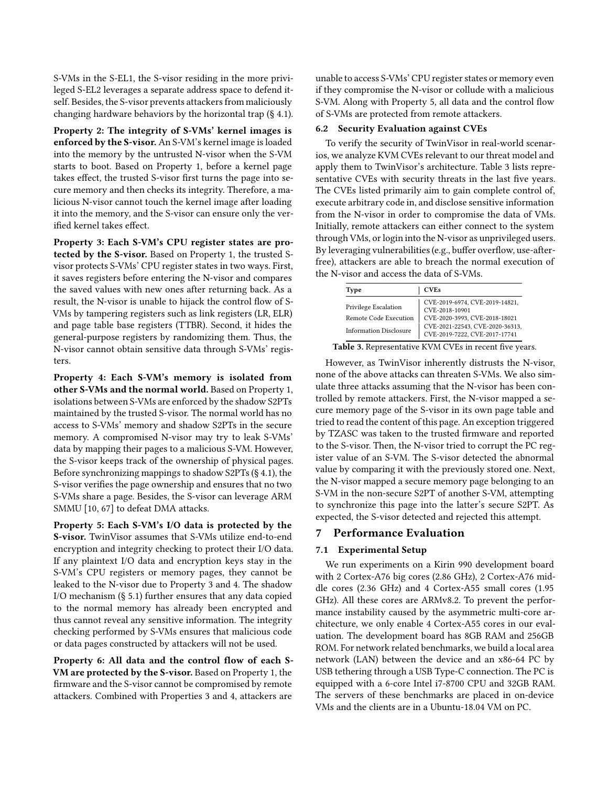S-VMs in the S-EL1, the S-visor residing in the more privileged S-EL2 leverages a separate address space to defend itself. Besides, the S-visor prevents attackers from maliciously changing hardware behaviors by the horizontal trap (§ [4.1\)](#page-4-0).

Property 2: The integrity of S-VMs' kernel images is enforced by the S-visor. An S-VM's kernel image is loaded into the memory by the untrusted N-visor when the S-VM starts to boot. Based on Property 1, before a kernel page takes effect, the trusted S-visor first turns the page into secure memory and then checks its integrity. Therefore, a malicious N-visor cannot touch the kernel image after loading it into the memory, and the S-visor can ensure only the verified kernel takes effect.

Property 3: Each S-VM's CPU register states are protected by the S-visor. Based on Property 1, the trusted Svisor protects S-VMs' CPU register states in two ways. First, it saves registers before entering the N-visor and compares the saved values with new ones after returning back. As a result, the N-visor is unable to hijack the control flow of S-VMs by tampering registers such as link registers (LR, ELR) and page table base registers (TTBR). Second, it hides the general-purpose registers by randomizing them. Thus, the N-visor cannot obtain sensitive data through S-VMs' registers.

Property 4: Each S-VM's memory is isolated from other S-VMs and the normal world. Based on Property 1, isolations between S-VMs are enforced by the shadow S2PTs maintained by the trusted S-visor. The normal world has no access to S-VMs' memory and shadow S2PTs in the secure memory. A compromised N-visor may try to leak S-VMs' data by mapping their pages to a malicious S-VM. However, the S-visor keeps track of the ownership of physical pages. Before synchronizing mappings to shadow S2PTs (§ [4.1\)](#page-4-0), the S-visor verifies the page ownership and ensures that no two S-VMs share a page. Besides, the S-visor can leverage ARM SMMU [\[10](#page-14-38), [67](#page-15-23)] to defeat DMA attacks.

Property 5: Each S-VM's I/O data is protected by the S-visor. TwinVisor assumes that S-VMs utilize end-to-end encryption and integrity checking to protect their I/O data. If any plaintext I/O data and encryption keys stay in the S-VM's CPU registers or memory pages, they cannot be leaked to the N-visor due to Property 3 and 4. The shadow I/O mechanism (§ [5.1\)](#page-7-2) further ensures that any data copied to the normal memory has already been encrypted and thus cannot reveal any sensitive information. The integrity checking performed by S-VMs ensures that malicious code or data pages constructed by attackers will not be used.

Property 6: All data and the control flow of each S-VM are protected by the S-visor. Based on Property 1, the firmware and the S-visor cannot be compromised by remote attackers. Combined with Properties 3 and 4, attackers are

unable to access S-VMs' CPU register states or memory even if they compromise the N-visor or collude with a malicious S-VM. Along with Property 5, all data and the control flow of S-VMs are protected from remote attackers.

## 6.2 Security Evaluation against CVEs

To verify the security of TwinVisor in real-world scenarios, we analyze KVM CVEs relevant to our threat model and apply them to TwinVisor's architecture. Table [3](#page-9-0) lists representative CVEs with security threats in the last five years. The CVEs listed primarily aim to gain complete control of, execute arbitrary code in, and disclose sensitive information from the N-visor in order to compromise the data of VMs. Initially, remote attackers can either connect to the system through VMs, or login into the N-visor as unprivileged users. By leveraging vulnerabilities (e.g., buffer overflow, use-afterfree), attackers are able to breach the normal execution of the N-visor and access the data of S-VMs.

<span id="page-9-0"></span>

| Type                                                                           | <b>CVEs</b>                                                                                                                                           |
|--------------------------------------------------------------------------------|-------------------------------------------------------------------------------------------------------------------------------------------------------|
| Privilege Escalation<br>Remote Code Execution<br><b>Information Disclosure</b> | CVE-2019-6974, CVE-2019-14821,<br>CVE-2018-10901<br>CVE-2020-3993, CVE-2018-18021<br>CVE-2021-22543, CVE-2020-36313,<br>CVE-2019-7222, CVE-2017-17741 |

Table 3. Representative KVM CVEs in recent five years.

However, as TwinVisor inherently distrusts the N-visor, none of the above attacks can threaten S-VMs. We also simulate three attacks assuming that the N-visor has been controlled by remote attackers. First, the N-visor mapped a secure memory page of the S-visor in its own page table and tried to read the content of this page. An exception triggered by TZASC was taken to the trusted firmware and reported to the S-visor. Then, the N-visor tried to corrupt the PC register value of an S-VM. The S-visor detected the abnormal value by comparing it with the previously stored one. Next, the N-visor mapped a secure memory page belonging to an S-VM in the non-secure S2PT of another S-VM, attempting to synchronize this page into the latter's secure S2PT. As expected, the S-visor detected and rejected this attempt.

## 7 Performance Evaluation

#### 7.1 Experimental Setup

We run experiments on a Kirin 990 development board with 2 Cortex-A76 big cores (2.86 GHz), 2 Cortex-A76 middle cores (2.36 GHz) and 4 Cortex-A55 small cores (1.95 GHz). All these cores are ARMv8.2. To prevent the performance instability caused by the asymmetric multi-core architecture, we only enable 4 Cortex-A55 cores in our evaluation. The development board has 8GB RAM and 256GB ROM. For network related benchmarks, we build a local area network (LAN) between the device and an x86-64 PC by USB tethering through a USB Type-C connection. The PC is equipped with a 6-core Intel i7-8700 CPU and 32GB RAM. The servers of these benchmarks are placed in on-device VMs and the clients are in a Ubuntu-18.04 VM on PC.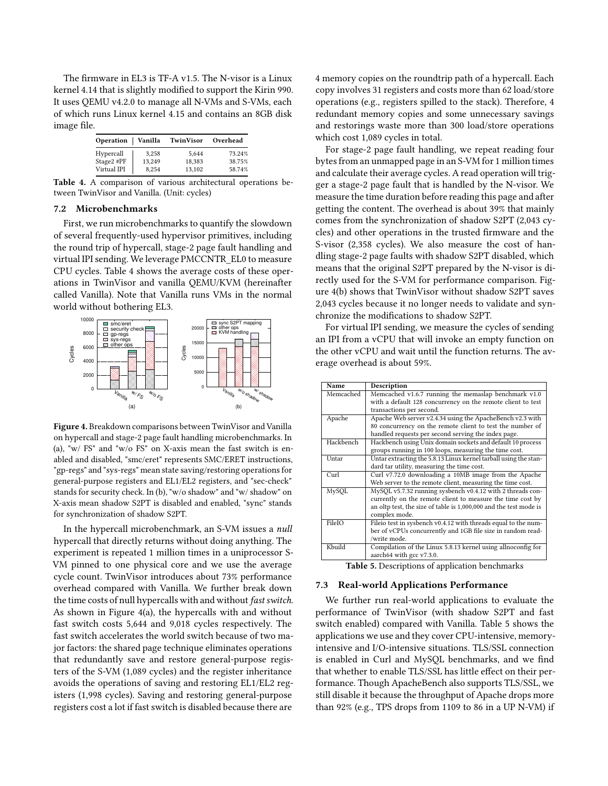The firmware in EL3 is TF-A v1.5. The N-visor is a Linux kernel 4.14 that is slightly modified to support the Kirin 990. It uses QEMU v4.2.0 to manage all N-VMs and S-VMs, each of which runs Linux kernel 4.15 and contains an 8GB disk image file.

<span id="page-10-1"></span>

| Operation Vanilla |        | TwinVisor | Overhead |
|-------------------|--------|-----------|----------|
| Hypercall         | 3.258  | 5.644     | 73.24%   |
| Stage2 #PF        | 13.249 | 18.383    | 38.75%   |
| Virtual IPI       | 8.254  | 13.102    | 58.74%   |

<span id="page-10-0"></span>Table 4. A comparison of various architectural operations between TwinVisor and Vanilla. (Unit: cycles)

#### 7.2 Microbenchmarks

First, we run microbenchmarks to quantify the slowdown of several frequently-used hypervisor primitives, including the round trip of hypercall, stage-2 page fault handling and virtual IPI sending. We leverage PMCCNTR\_EL0 to measure CPU cycles. Table [4](#page-10-1) shows the average costs of these operations in TwinVisor and vanilla QEMU/KVM (hereinafter called Vanilla). Note that Vanilla runs VMs in the normal world without bothering EL3.

<span id="page-10-2"></span>

Figure 4. Breakdown comparisons between TwinVisor and Vanilla on hypercall and stage-2 page fault handling microbenchmarks. In (a), "w/ FS" and "w/o FS" on X-axis mean the fast switch is enabled and disabled, "smc/eret" represents SMC/ERET instructions, "gp-regs" and "sys-regs" mean state saving/restoring operations for general-purpose registers and EL1/EL2 registers, and "sec-check" stands for security check. In (b), "w/o shadow" and "w/ shadow" on X-axis mean shadow S2PT is disabled and enabled, "sync" stands for synchronization of shadow S2PT.

In the hypercall microbenchmark, an S-VM issues a null hypercall that directly returns without doing anything. The experiment is repeated 1 million times in a uniprocessor S-VM pinned to one physical core and we use the average cycle count. TwinVisor introduces about 73% performance overhead compared with Vanilla. We further break down the time costs of null hypercalls with and without fast switch. As shown in Figure [4\(](#page-10-2)a), the hypercalls with and without fast switch costs 5,644 and 9,018 cycles respectively. The fast switch accelerates the world switch because of two major factors: the shared page technique eliminates operations that redundantly save and restore general-purpose registers of the S-VM (1,089 cycles) and the register inheritance avoids the operations of saving and restoring EL1/EL2 registers (1,998 cycles). Saving and restoring general-purpose registers cost a lot if fast switch is disabled because there are

4 memory copies on the roundtrip path of a hypercall. Each copy involves 31 registers and costs more than 62 load/store operations (e.g., registers spilled to the stack). Therefore, 4 redundant memory copies and some unnecessary savings and restorings waste more than 300 load/store operations which cost 1,089 cycles in total.

For stage-2 page fault handling, we repeat reading four bytes from an unmapped page in an S-VM for 1 million times and calculate their average cycles. A read operation will trigger a stage-2 page fault that is handled by the N-visor. We measure the time duration before reading this page and after getting the content. The overhead is about 39% that mainly comes from the synchronization of shadow S2PT (2,043 cycles) and other operations in the trusted firmware and the S-visor (2,358 cycles). We also measure the cost of handling stage-2 page faults with shadow S2PT disabled, which means that the original S2PT prepared by the N-visor is directly used for the S-VM for performance comparison. Figure [4\(](#page-10-2)b) shows that TwinVisor without shadow S2PT saves 2,043 cycles because it no longer needs to validate and synchronize the modifications to shadow S2PT.

For virtual IPI sending, we measure the cycles of sending an IPI from a vCPU that will invoke an empty function on the other vCPU and wait until the function returns. The average overhead is about 59%.

<span id="page-10-3"></span>

| Name         | Description                                                       |
|--------------|-------------------------------------------------------------------|
| Memcached    | Memcached v1.6.7 running the memaslap benchmark v1.0              |
|              | with a default 128 concurrency on the remote client to test       |
|              | transactions per second.                                          |
| Apache       | Apache Web server v2.4.34 using the ApacheBench v2.3 with         |
|              | 80 concurrency on the remote client to test the number of         |
|              | handled requests per second serving the index page.               |
| Hackbench    | Hackbench using Unix domain sockets and default 10 process        |
|              | groups running in 100 loops, measuring the time cost.             |
| <b>Untar</b> | Untar extracting the 5.8.13 Linux kernel tarball using the stan-  |
|              | dard tar utility, measuring the time cost.                        |
| Curl         | Curl v7.72.0 downloading a 10MB image from the Apache             |
|              | Web server to the remote client, measuring the time cost.         |
| MySQL        | MySQL v5.7.32 running sysbench v0.4.12 with 2 threads con-        |
|              | currently on the remote client to measure the time cost by        |
|              | an oltp test, the size of table is 1,000,000 and the test mode is |
|              | complex mode.                                                     |
| FileIO       | Fileio test in sysbench v0.4.12 with threads equal to the num-    |
|              | ber of vCPUs concurrently and 1GB file size in random read-       |
|              | /write mode.                                                      |
| Kbuild       | Compilation of the Linux 5.8.13 kernel using allnoconfig for      |
|              | aarch64 with gcc v7.3.0.                                          |
|              |                                                                   |

Table 5. Descriptions of application benchmarks

#### <span id="page-10-4"></span>7.3 Real-world Applications Performance

We further run real-world applications to evaluate the performance of TwinVisor (with shadow S2PT and fast switch enabled) compared with Vanilla. Table [5](#page-10-3) shows the applications we use and they cover CPU-intensive, memoryintensive and I/O-intensive situations. TLS/SSL connection is enabled in Curl and MySQL benchmarks, and we find that whether to enable TLS/SSL has little effect on their performance. Though ApacheBench also supports TLS/SSL, we still disable it because the throughput of Apache drops more than 92% (e.g., TPS drops from 1109 to 86 in a UP N-VM) if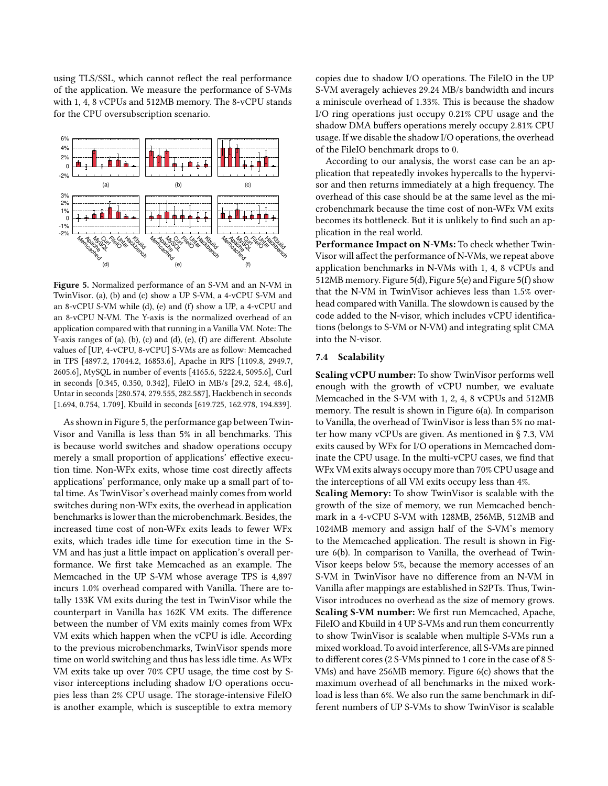using TLS/SSL, which cannot reflect the real performance of the application. We measure the performance of S-VMs with 1, 4, 8 vCPUs and 512MB memory. The 8-vCPU stands for the CPU oversubscription scenario.

<span id="page-11-0"></span>

Figure 5. Normalized performance of an S-VM and an N-VM in TwinVisor. (a), (b) and (c) show a UP S-VM, a 4-vCPU S-VM and an 8-vCPU S-VM while (d), (e) and (f) show a UP, a 4-vCPU and an 8-vCPU N-VM. The Y-axis is the normalized overhead of an application compared with that running in a Vanilla VM. Note: The Y-axis ranges of (a), (b), (c) and (d), (e), (f) are different. Absolute values of [UP, 4-vCPU, 8-vCPU] S-VMs are as follow: Memcached in TPS [4897.2, 17044.2, 16853.6], Apache in RPS [1109.8, 2949.7, 2605.6], MySQL in number of events [4165.6, 5222.4, 5095.6], Curl in seconds [0.345, 0.350, 0.342], FileIO in MB/s [29.2, 52.4, 48.6], Untar in seconds [280.574, 279.555, 282.587], Hackbench in seconds [1.694, 0.754, 1.709], Kbuild in seconds [619.725, 162.978, 194.839].

As shown in Figure [5,](#page-11-0) the performance gap between Twin-Visor and Vanilla is less than 5% in all benchmarks. This is because world switches and shadow operations occupy merely a small proportion of applications' effective execution time. Non-WFx exits, whose time cost directly affects applications' performance, only make up a small part of total time. As TwinVisor's overhead mainly comes from world switches during non-WFx exits, the overhead in application benchmarks is lower than the microbenchmark. Besides, the increased time cost of non-WFx exits leads to fewer WFx exits, which trades idle time for execution time in the S-VM and has just a little impact on application's overall performance. We first take Memcached as an example. The Memcached in the UP S-VM whose average TPS is 4,897 incurs 1.0% overhead compared with Vanilla. There are totally 133K VM exits during the test in TwinVisor while the counterpart in Vanilla has 162K VM exits. The difference between the number of VM exits mainly comes from WFx VM exits which happen when the vCPU is idle. According to the previous microbenchmarks, TwinVisor spends more time on world switching and thus has less idle time. As WFx VM exits take up over 70% CPU usage, the time cost by Svisor interceptions including shadow I/O operations occupies less than 2% CPU usage. The storage-intensive FileIO is another example, which is susceptible to extra memory

copies due to shadow I/O operations. The FileIO in the UP S-VM averagely achieves 29.24 MB/s bandwidth and incurs a miniscule overhead of 1.33%. This is because the shadow I/O ring operations just occupy 0.21% CPU usage and the shadow DMA buffers operations merely occupy 2.81% CPU usage. If we disable the shadow I/O operations, the overhead of the FileIO benchmark drops to 0.

According to our analysis, the worst case can be an application that repeatedly invokes hypercalls to the hypervisor and then returns immediately at a high frequency. The overhead of this case should be at the same level as the microbenchmark because the time cost of non-WFx VM exits becomes its bottleneck. But it is unlikely to find such an application in the real world.

Performance Impact on N-VMs: To check whether Twin-Visor will affect the performance of N-VMs, we repeat above application benchmarks in N-VMs with 1, 4, 8 vCPUs and 512MB memory. Figure [5\(](#page-11-0)d), Figure [5\(](#page-11-0)e) and Figure [5\(](#page-11-0)f) show that the N-VM in TwinVisor achieves less than 1.5% overhead compared with Vanilla. The slowdown is caused by the code added to the N-visor, which includes vCPU identifications (belongs to S-VM or N-VM) and integrating split CMA into the N-visor.

#### 7.4 Scalability

Scaling vCPU number: To show TwinVisor performs well enough with the growth of vCPU number, we evaluate Memcached in the S-VM with 1, 2, 4, 8 vCPUs and 512MB memory. The result is shown in Figure [6\(](#page-12-1)a). In comparison to Vanilla, the overhead of TwinVisor is less than 5% no matter how many vCPUs are given. As mentioned in § [7.3,](#page-10-4) VM exits caused by WFx for I/O operations in Memcached dominate the CPU usage. In the multi-vCPU cases, we find that WFx VM exits always occupy more than 70% CPU usage and the interceptions of all VM exits occupy less than 4%.

Scaling Memory: To show TwinVisor is scalable with the growth of the size of memory, we run Memcached benchmark in a 4-vCPU S-VM with 128MB, 256MB, 512MB and 1024MB memory and assign half of the S-VM's memory to the Memcached application. The result is shown in Figure [6\(](#page-12-1)b). In comparison to Vanilla, the overhead of Twin-Visor keeps below 5%, because the memory accesses of an S-VM in TwinVisor have no difference from an N-VM in Vanilla after mappings are established in S2PTs. Thus, Twin-Visor introduces no overhead as the size of memory grows. Scaling S-VM number: We first run Memcached, Apache, FileIO and Kbuild in 4 UP S-VMs and run them concurrently to show TwinVisor is scalable when multiple S-VMs run a mixed workload. To avoid interference, all S-VMs are pinned to different cores (2 S-VMs pinned to 1 core in the case of 8 S-VMs) and have 256MB memory. Figure [6\(](#page-12-1)c) shows that the maximum overhead of all benchmarks in the mixed workload is less than 6%. We also run the same benchmark in different numbers of UP S-VMs to show TwinVisor is scalable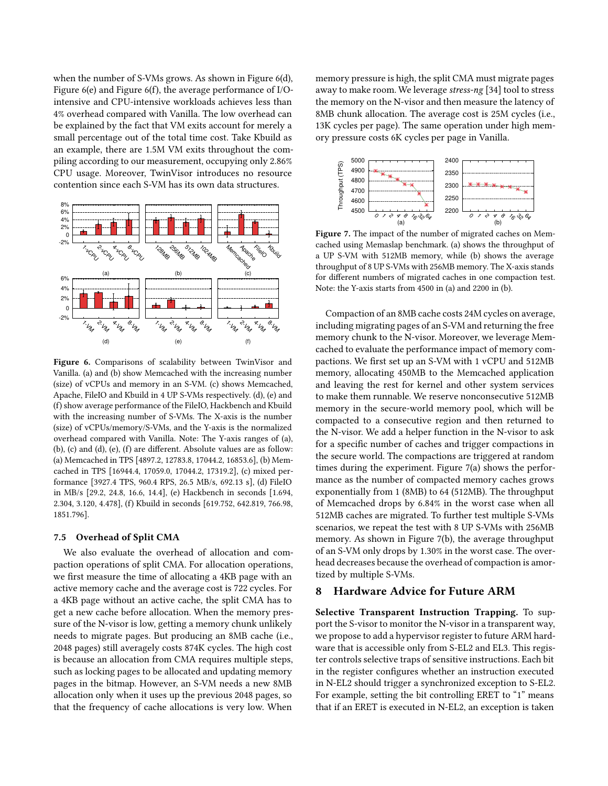when the number of S-VMs grows. As shown in Figure [6\(](#page-12-1)d), Figure [6\(](#page-12-1)e) and Figure [6\(](#page-12-1)f), the average performance of I/Ointensive and CPU-intensive workloads achieves less than 4% overhead compared with Vanilla. The low overhead can be explained by the fact that VM exits account for merely a small percentage out of the total time cost. Take Kbuild as an example, there are 1.5M VM exits throughout the compiling according to our measurement, occupying only 2.86% CPU usage. Moreover, TwinVisor introduces no resource contention since each S-VM has its own data structures.

<span id="page-12-1"></span>

Figure 6. Comparisons of scalability between TwinVisor and Vanilla. (a) and (b) show Memcached with the increasing number (size) of vCPUs and memory in an S-VM. (c) shows Memcached, Apache, FileIO and Kbuild in 4 UP S-VMs respectively. (d), (e) and (f) show average performance of the FileIO, Hackbench and Kbuild with the increasing number of S-VMs. The X-axis is the number (size) of vCPUs/memory/S-VMs, and the Y-axis is the normalized overhead compared with Vanilla. Note: The Y-axis ranges of (a), (b), (c) and (d), (e), (f) are different. Absolute values are as follow: (a) Memcached in TPS [4897.2, 12783.8, 17044.2, 16853.6], (b) Memcached in TPS [16944.4, 17059.0, 17044.2, 17319.2], (c) mixed performance [3927.4 TPS, 960.4 RPS, 26.5 MB/s, 692.13 s], (d) FileIO in MB/s [29.2, 24.8, 16.6, 14.4], (e) Hackbench in seconds [1.694, 2.304, 3.120, 4.478], (f) Kbuild in seconds [619.752, 642.819, 766.98, 1851.796].

## 7.5 Overhead of Split CMA

We also evaluate the overhead of allocation and compaction operations of split CMA. For allocation operations, we first measure the time of allocating a 4KB page with an active memory cache and the average cost is 722 cycles. For a 4KB page without an active cache, the split CMA has to get a new cache before allocation. When the memory pressure of the N-visor is low, getting a memory chunk unlikely needs to migrate pages. But producing an 8MB cache (i.e., 2048 pages) still averagely costs 874K cycles. The high cost is because an allocation from CMA requires multiple steps, such as locking pages to be allocated and updating memory pages in the bitmap. However, an S-VM needs a new 8MB allocation only when it uses up the previous 2048 pages, so that the frequency of cache allocations is very low. When

memory pressure is high, the split CMA must migrate pages away to make room. We leverage stress-ng [\[34\]](#page-14-39) tool to stress the memory on the N-visor and then measure the latency of 8MB chunk allocation. The average cost is 25M cycles (i.e., 13K cycles per page). The same operation under high memory pressure costs 6K cycles per page in Vanilla.

<span id="page-12-2"></span>

Figure 7. The impact of the number of migrated caches on Memcached using Memaslap benchmark. (a) shows the throughput of a UP S-VM with 512MB memory, while (b) shows the average throughput of 8 UP S-VMs with 256MB memory. The X-axis stands for different numbers of migrated caches in one compaction test. Note: the Y-axis starts from 4500 in (a) and 2200 in (b).

Compaction of an 8MB cache costs 24M cycles on average, including migrating pages of an S-VM and returning the free memory chunk to the N-visor. Moreover, we leverage Memcached to evaluate the performance impact of memory compactions. We first set up an S-VM with 1 vCPU and 512MB memory, allocating 450MB to the Memcached application and leaving the rest for kernel and other system services to make them runnable. We reserve nonconsecutive 512MB memory in the secure-world memory pool, which will be compacted to a consecutive region and then returned to the N-visor. We add a helper function in the N-visor to ask for a specific number of caches and trigger compactions in the secure world. The compactions are triggered at random times during the experiment. Figure [7\(](#page-12-2)a) shows the performance as the number of compacted memory caches grows exponentially from 1 (8MB) to 64 (512MB). The throughput of Memcached drops by 6.84% in the worst case when all 512MB caches are migrated. To further test multiple S-VMs scenarios, we repeat the test with 8 UP S-VMs with 256MB memory. As shown in Figure [7\(](#page-12-2)b), the average throughput of an S-VM only drops by 1.30% in the worst case. The overhead decreases because the overhead of compaction is amortized by multiple S-VMs.

# <span id="page-12-0"></span>8 Hardware Advice for Future ARM

Selective Transparent Instruction Trapping. To support the S-visor to monitor the N-visor in a transparent way, we propose to add a hypervisor register to future ARM hardware that is accessible only from S-EL2 and EL3. This register controls selective traps of sensitive instructions. Each bit in the register configures whether an instruction executed in N-EL2 should trigger a synchronized exception to S-EL2. For example, setting the bit controlling ERET to "1" means that if an ERET is executed in N-EL2, an exception is taken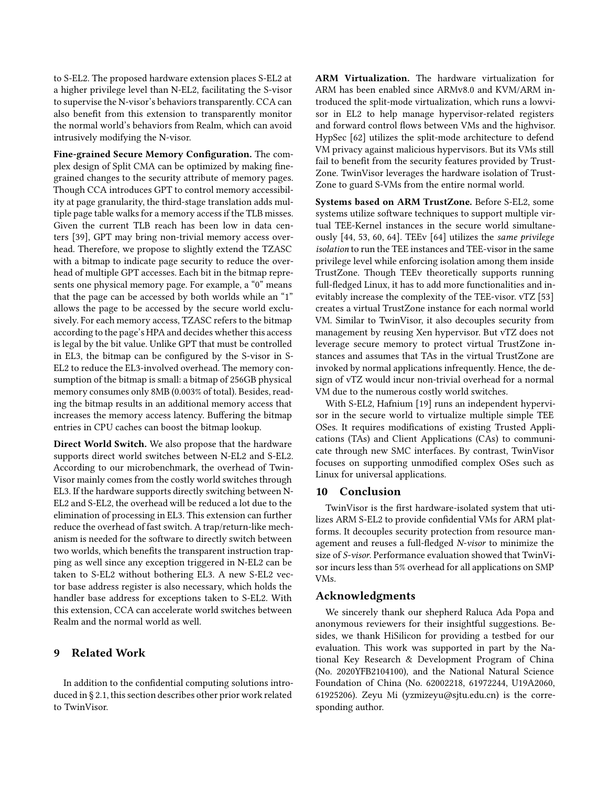to S-EL2. The proposed hardware extension places S-EL2 at a higher privilege level than N-EL2, facilitating the S-visor to supervise the N-visor's behaviors transparently. CCA can also benefit from this extension to transparently monitor the normal world's behaviors from Realm, which can avoid intrusively modifying the N-visor.

Fine-grained Secure Memory Configuration. The complex design of Split CMA can be optimized by making finegrained changes to the security attribute of memory pages. Though CCA introduces GPT to control memory accessibility at page granularity, the third-stage translation adds multiple page table walks for a memory access if the TLB misses. Given the current TLB reach has been low in data centers [\[39](#page-14-40)], GPT may bring non-trivial memory access overhead. Therefore, we propose to slightly extend the TZASC with a bitmap to indicate page security to reduce the overhead of multiple GPT accesses. Each bit in the bitmap represents one physical memory page. For example, a "0" means that the page can be accessed by both worlds while an "1" allows the page to be accessed by the secure world exclusively. For each memory access, TZASC refers to the bitmap according to the page's HPA and decides whether this access is legal by the bit value. Unlike GPT that must be controlled in EL3, the bitmap can be configured by the S-visor in S-EL2 to reduce the EL3-involved overhead. The memory consumption of the bitmap is small: a bitmap of 256GB physical memory consumes only 8MB (0.003% of total). Besides, reading the bitmap results in an additional memory access that increases the memory access latency. Buffering the bitmap entries in CPU caches can boost the bitmap lookup.

Direct World Switch. We also propose that the hardware supports direct world switches between N-EL2 and S-EL2. According to our microbenchmark, the overhead of Twin-Visor mainly comes from the costly world switches through EL3. If the hardware supports directly switching between N-EL2 and S-EL2, the overhead will be reduced a lot due to the elimination of processing in EL3. This extension can further reduce the overhead of fast switch. A trap/return-like mechanism is needed for the software to directly switch between two worlds, which benefits the transparent instruction trapping as well since any exception triggered in N-EL2 can be taken to S-EL2 without bothering EL3. A new S-EL2 vector base address register is also necessary, which holds the handler base address for exceptions taken to S-EL2. With this extension, CCA can accelerate world switches between Realm and the normal world as well.

# 9 Related Work

In addition to the confidential computing solutions introduced in § [2.1,](#page-1-1) this section describes other prior work related to TwinVisor.

ARM Virtualization. The hardware virtualization for ARM has been enabled since ARMv8.0 and KVM/ARM introduced the split-mode virtualization, which runs a lowvisor in EL2 to help manage hypervisor-related registers and forward control flows between VMs and the highvisor. HypSec [\[62](#page-15-24)] utilizes the split-mode architecture to defend VM privacy against malicious hypervisors. But its VMs still fail to benefit from the security features provided by Trust-Zone. TwinVisor leverages the hardware isolation of Trust-Zone to guard S-VMs from the entire normal world.

Systems based on ARM TrustZone. Before S-EL2, some systems utilize software techniques to support multiple virtual TEE-Kernel instances in the secure world simultaneously [\[44,](#page-15-25) [53](#page-15-10), [60,](#page-15-26) [64](#page-15-27)]. TEEv [\[64](#page-15-27)] utilizes the same privilege isolation to run the TEE instances and TEE-visor in the same privilege level while enforcing isolation among them inside TrustZone. Though TEEv theoretically supports running full-fledged Linux, it has to add more functionalities and inevitably increase the complexity of the TEE-visor. vTZ [\[53](#page-15-10)] creates a virtual TrustZone instance for each normal world VM. Similar to TwinVisor, it also decouples security from management by reusing Xen hypervisor. But vTZ does not leverage secure memory to protect virtual TrustZone instances and assumes that TAs in the virtual TrustZone are invoked by normal applications infrequently. Hence, the design of vTZ would incur non-trivial overhead for a normal VM due to the numerous costly world switches.

With S-EL2, Hafnium [\[19](#page-14-41)] runs an independent hypervisor in the secure world to virtualize multiple simple TEE OSes. It requires modifications of existing Trusted Applications (TAs) and Client Applications (CAs) to communicate through new SMC interfaces. By contrast, TwinVisor focuses on supporting unmodified complex OSes such as Linux for universal applications.

## 10 Conclusion

TwinVisor is the first hardware-isolated system that utilizes ARM S-EL2 to provide confidential VMs for ARM platforms. It decouples security protection from resource management and reuses a full-fledged N-visor to minimize the size of S-visor. Performance evaluation showed that TwinVisor incurs less than 5% overhead for all applications on SMP VMs.

# Acknowledgments

We sincerely thank our shepherd Raluca Ada Popa and anonymous reviewers for their insightful suggestions. Besides, we thank HiSilicon for providing a testbed for our evaluation. This work was supported in part by the National Key Research & Development Program of China (No. 2020YFB2104100), and the National Natural Science Foundation of China (No. 62002218, 61972244, U19A2060, 61925206). Zeyu Mi (yzmizeyu@sjtu.edu.cn) is the corresponding author.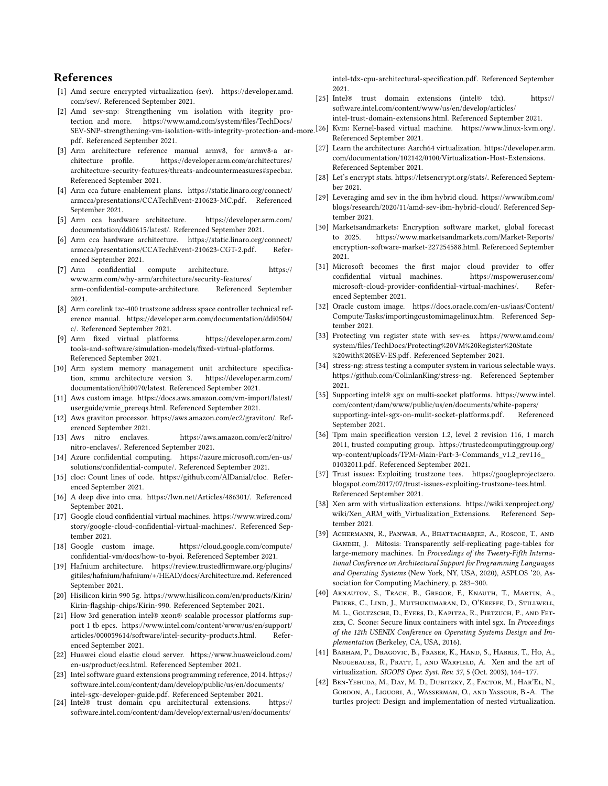# References

- <span id="page-14-4"></span>[1] Amd secure encrypted virtualization (sev). [https://developer.amd.](https://developer.amd.com/sev/) [com/sev/.](https://developer.amd.com/sev/) Referenced September 2021.
- <span id="page-14-5"></span>[2] Amd sev-snp: Strengthening vm isolation with itegrity protection and more. [https://www.amd.com/system/files/TechDocs/](https://www.amd.com/system/files/TechDocs/SEV-SNP-strengthening-vm-isolation-with-integrity-protection-and-more.pdf) [pdf.](https://www.amd.com/system/files/TechDocs/SEV-SNP-strengthening-vm-isolation-with-integrity-protection-and-more.pdf) Referenced September 2021.
- <span id="page-14-27"></span>[3] Arm architecture reference manual armv8, for armv8-a architecture profile. [https://developer.arm.com/architectures/](https://developer.arm.com/architectures/architecture-security-features/threats-andcountermeasures#specbar) [architecture-security-features/threats-andcountermeasures#specbar.](https://developer.arm.com/architectures/architecture-security-features/threats-andcountermeasures#specbar) Referenced September 2021.
- <span id="page-14-11"></span>[4] Arm cca future enablement plans. [https://static.linaro.org/connect/](https://static.linaro.org/connect/armcca/presentations/CCATechEvent-210623-MC.pdf) [armcca/presentations/CCATechEvent-210623-MC.pdf.](https://static.linaro.org/connect/armcca/presentations/CCATechEvent-210623-MC.pdf) Referenced September 2021.
- <span id="page-14-23"></span>[5] Arm cca hardware architecture. [https://developer.arm.com/](https://developer.arm.com/documentation/ddi0615/latest/) [documentation/ddi0615/latest/.](https://developer.arm.com/documentation/ddi0615/latest/) Referenced September 2021.
- <span id="page-14-24"></span>[6] Arm cca hardware architecture. [https://static.linaro.org/connect/](https://static.linaro.org/connect/armcca/presentations/CCATechEvent-210623-CGT-2.pdf) [armcca/presentations/CCATechEvent-210623-CGT-2.pdf.](https://static.linaro.org/connect/armcca/presentations/CCATechEvent-210623-CGT-2.pdf) Referenced September 2021.
- <span id="page-14-10"></span>[7] Arm confidential compute architecture. [https://](https://www.arm.com/why-arm/architecture/security-features/arm-confidential-compute-architecture) [www.arm.com/why-arm/architecture/security-features/](https://www.arm.com/why-arm/architecture/security-features/arm-confidential-compute-architecture) [arm-confidential-compute-architecture.](https://www.arm.com/why-arm/architecture/security-features/arm-confidential-compute-architecture) Referenced September 2021.
- <span id="page-14-22"></span>[8] Arm corelink tzc-400 trustzone address space controller technical reference manual. [https://developer.arm.com/documentation/ddi0504/](https://developer.arm.com/documentation/ddi0504/c/) [c/.](https://developer.arm.com/documentation/ddi0504/c/) Referenced September 2021.
- <span id="page-14-39"></span><span id="page-14-34"></span>[9] Arm fixed virtual platforms. [https://developer.arm.com/](https://developer.arm.com/tools-and-software/simulation-models/fixed-virtual-platforms) [tools-and-software/simulation-models/fixed-virtual-platforms.](https://developer.arm.com/tools-and-software/simulation-models/fixed-virtual-platforms) Referenced September 2021.
- <span id="page-14-38"></span>[10] Arm system memory management unit architecture specification, smmu architecture version 3. [https://developer.arm.com/](https://developer.arm.com/documentation/ihi0070/latest) [documentation/ihi0070/latest.](https://developer.arm.com/documentation/ihi0070/latest) Referenced September 2021.
- <span id="page-14-30"></span><span id="page-14-20"></span>[11] Aws custom image. [https://docs.aws.amazon.com/vm-import/latest/](https://docs.aws.amazon.com/vm-import/latest/userguide/vmie_prereqs.html) [userguide/vmie\\_prereqs.html.](https://docs.aws.amazon.com/vm-import/latest/userguide/vmie_prereqs.html) Referenced September 2021.
- <span id="page-14-8"></span>[12] Aws graviton processor. [https://aws.amazon.com/ec2/graviton/.](https://aws.amazon.com/ec2/graviton/) Referenced September 2021.
- <span id="page-14-28"></span><span id="page-14-16"></span>[13] Aws nitro enclaves. [https://aws.amazon.com/ec2/nitro/](https://aws.amazon.com/ec2/nitro/nitro-enclaves/) [nitro-enclaves/.](https://aws.amazon.com/ec2/nitro/nitro-enclaves/) Referenced September 2021.
- <span id="page-14-17"></span>[14] Azure confidential computing. [https://azure.microsoft.com/en-us/](https://azure.microsoft.com/en-us/solutions/confidential-compute/) [solutions/confidential-compute/.](https://azure.microsoft.com/en-us/solutions/confidential-compute/) Referenced September 2021.
- <span id="page-14-37"></span><span id="page-14-12"></span>[15] cloc: Count lines of code. [https://github.com/AlDanial/cloc.](https://github.com/AlDanial/cloc) Referenced September 2021.
- <span id="page-14-33"></span><span id="page-14-14"></span>[16] A deep dive into cma. [https://lwn.net/Articles/486301/.](https://lwn.net/Articles/486301/) Referenced September 2021.
- <span id="page-14-1"></span>[17] Google cloud confidential virtual machines. [https://www.wired.com/](https://www.wired.com/story/google-cloud-confidential-virtual-machines/) [story/google-cloud-confidential-virtual-machines/.](https://www.wired.com/story/google-cloud-confidential-virtual-machines/) Referenced September 2021.
- <span id="page-14-40"></span><span id="page-14-31"></span>[18] Google custom image. [https://cloud.google.com/compute/](https://cloud.google.com/compute/confidential-vm/docs/how-to-byoi) [confidential-vm/docs/how-to-byoi.](https://cloud.google.com/compute/confidential-vm/docs/how-to-byoi) Referenced September 2021.
- <span id="page-14-41"></span>[19] Hafnium architecture. [https://review.trustedfirmware.org/plugins/](https://review.trustedfirmware.org/plugins/gitiles/hafnium/hafnium/+/HEAD/docs/Architecture.md) [gitiles/hafnium/hafnium/+/HEAD/docs/Architecture.md.](https://review.trustedfirmware.org/plugins/gitiles/hafnium/hafnium/+/HEAD/docs/Architecture.md) Referenced September 2021.
- <span id="page-14-35"></span><span id="page-14-0"></span>[20] Hisilicon kirin 990 5g. [https://www.hisilicon.com/en/products/Kirin/](https://www.hisilicon.com/en/products/Kirin/Kirin-flagship-chips/Kirin-990) [Kirin-flagship-chips/Kirin-990.](https://www.hisilicon.com/en/products/Kirin/Kirin-flagship-chips/Kirin-990) Referenced September 2021.
- <span id="page-14-19"></span>[21] How 3rd generation intel® xeon® scalable processor platforms support 1 tb epcs. [https://www.intel.com/content/www/us/en/support/](https://www.intel.com/content/www/us/en/support/articles/000059614/software/intel-security-products.html) [articles/000059614/software/intel-security-products.html.](https://www.intel.com/content/www/us/en/support/articles/000059614/software/intel-security-products.html) Referenced September 2021.
- <span id="page-14-15"></span><span id="page-14-9"></span>[22] Huawei cloud elastic cloud server. [https://www.huaweicloud.com/](https://www.huaweicloud.com/en-us/product/ecs.html) [en-us/product/ecs.html.](https://www.huaweicloud.com/en-us/product/ecs.html) Referenced September 2021.
- <span id="page-14-29"></span><span id="page-14-18"></span>[23] Intel software guard extensions programming reference, 2014. [https://](https://software.intel.com/content/dam/develop/public/us/en/documents/intel-sgx-developer-guide.pdf) [software.intel.com/content/dam/develop/public/us/en/documents/](https://software.intel.com/content/dam/develop/public/us/en/documents/intel-sgx-developer-guide.pdf) [intel-sgx-developer-guide.pdf.](https://software.intel.com/content/dam/develop/public/us/en/documents/intel-sgx-developer-guide.pdf) Referenced September 2021.
- <span id="page-14-6"></span>[24] Intel® trust domain cpu architectural extensions. [https://](https://software.intel.com/content/dam/develop/external/us/en/documents/intel-tdx-cpu-architectural-specification.pdf) [software.intel.com/content/dam/develop/external/us/en/documents/](https://software.intel.com/content/dam/develop/external/us/en/documents/intel-tdx-cpu-architectural-specification.pdf)

[intel-tdx-cpu-architectural-specification.pdf.](https://software.intel.com/content/dam/develop/external/us/en/documents/intel-tdx-cpu-architectural-specification.pdf) Referenced September 2021.

- <span id="page-14-36"></span><span id="page-14-32"></span><span id="page-14-26"></span><span id="page-14-25"></span><span id="page-14-21"></span><span id="page-14-13"></span><span id="page-14-7"></span><span id="page-14-3"></span><span id="page-14-2"></span>[25] Intel® trust domain extensions (intel® tdx). [https://](https://software.intel.com/content/www/us/en/develop/articles/intel-trust-domain-extensions.html) [software.intel.com/content/www/us/en/develop/articles/](https://software.intel.com/content/www/us/en/develop/articles/intel-trust-domain-extensions.html) [intel-trust-domain-extensions.html.](https://software.intel.com/content/www/us/en/develop/articles/intel-trust-domain-extensions.html) Referenced September 2021.
- [SEV-SNP-strengthening-vm-isolation-with-integrity-protection-and-more.](https://www.amd.com/system/files/TechDocs/SEV-SNP-strengthening-vm-isolation-with-integrity-protection-and-more.pdf) [26] Kvm: Kernel-based virtual machine. [https://www.linux-kvm.org/.](https://www.linux-kvm.org/) Referenced September 2021.
	- [27] Learn the architecture: Aarch64 virtualization. [https://developer.arm.](https://developer.arm.com/documentation/102142/0100/Virtualization-Host-Extensions) [com/documentation/102142/0100/Virtualization-Host-Extensions.](https://developer.arm.com/documentation/102142/0100/Virtualization-Host-Extensions) Referenced September 2021.
	- [28] Let's encrypt stats. [https://letsencrypt.org/stats/.](https://letsencrypt.org/stats/) Referenced September 2021.
	- [29] Leveraging amd sev in the ibm hybrid cloud. [https://www.ibm.com/](https://www.ibm.com/blogs/research/2020/11/amd-sev-ibm-hybrid-cloud/) [blogs/research/2020/11/amd-sev-ibm-hybrid-cloud/.](https://www.ibm.com/blogs/research/2020/11/amd-sev-ibm-hybrid-cloud/) Referenced September 2021.
	- [30] Marketsandmarkets: Encryption software market, global forecast to 2025. [https://www.marketsandmarkets.com/Market-Reports/](https://www.marketsandmarkets.com/Market-Reports/encryption-software-market-227254588.html) [encryption-software-market-227254588.html.](https://www.marketsandmarkets.com/Market-Reports/encryption-software-market-227254588.html) Referenced September 2021.
	- [31] Microsoft becomes the first major cloud provider to offer confidential virtual machines. [https://mspoweruser.com/](https://mspoweruser.com/microsoft-cloud-provider-confidential-virtual-machines/) [microsoft-cloud-provider-confidential-virtual-machines/.](https://mspoweruser.com/microsoft-cloud-provider-confidential-virtual-machines/) Referenced September 2021.
	- [32] Oracle custom image. [https://docs.oracle.com/en-us/iaas/Content/](https://docs.oracle.com/en-us/iaas/Content/Compute/Tasks/importingcustomimagelinux.htm) [Compute/Tasks/importingcustomimagelinux.htm.](https://docs.oracle.com/en-us/iaas/Content/Compute/Tasks/importingcustomimagelinux.htm) Referenced September 2021.
	- [33] Protecting vm register state with sev-es. [https://www.amd.com/](https://www.amd.com/system/files/TechDocs/Protecting%20VM%20Register%20State%20with%20SEV-ES.pdf) [system/files/TechDocs/Protecting%20VM%20Register%20State](https://www.amd.com/system/files/TechDocs/Protecting%20VM%20Register%20State%20with%20SEV-ES.pdf) [%20with%20SEV-ES.pdf.](https://www.amd.com/system/files/TechDocs/Protecting%20VM%20Register%20State%20with%20SEV-ES.pdf) Referenced September 2021.
	- [34] stress-ng: stress testing a computer system in various selectable ways. [https://github.com/ColinIanKing/stress-ng.](https://github.com/ColinIanKing/stress-ng) Referenced September 2021.
	- [35] Supporting intel® sgx on multi-socket platforms. [https://www.intel.](https://www.intel.com/content/dam/www/public/us/en/documents/white-papers/supporting-intel-sgx-on-mulit-socket-platforms.pdf) [com/content/dam/www/public/us/en/documents/white-papers/](https://www.intel.com/content/dam/www/public/us/en/documents/white-papers/supporting-intel-sgx-on-mulit-socket-platforms.pdf) [supporting-intel-sgx-on-mulit-socket-platforms.pdf.](https://www.intel.com/content/dam/www/public/us/en/documents/white-papers/supporting-intel-sgx-on-mulit-socket-platforms.pdf) Referenced September 2021.
	- [36] Tpm main specification version 1.2, level 2 revision 116, 1 march 2011, trusted computing group. [https://trustedcomputinggroup.org/](https://trustedcomputinggroup.org/wp-content/uploads/TPM-Main-Part-3-Commands_v1.2_rev116_01032011.pdf) [wp-content/uploads/TPM-Main-Part-3-Commands\\_v1.2\\_rev116\\_](https://trustedcomputinggroup.org/wp-content/uploads/TPM-Main-Part-3-Commands_v1.2_rev116_01032011.pdf) [01032011.pdf.](https://trustedcomputinggroup.org/wp-content/uploads/TPM-Main-Part-3-Commands_v1.2_rev116_01032011.pdf) Referenced September 2021.
	- [37] Trust issues: Exploiting trustzone tees. [https://googleprojectzero.](https://googleprojectzero.blogspot.com/2017/07/trust-issues-exploiting-trustzone-tees.html) [blogspot.com/2017/07/trust-issues-exploiting-trustzone-tees.html.](https://googleprojectzero.blogspot.com/2017/07/trust-issues-exploiting-trustzone-tees.html) Referenced September 2021.
	- [38] Xen arm with virtualization extensions. [https://wiki.xenproject.org/](https://wiki.xenproject.org/wiki/Xen_ARM_with_Virtualization_Extensions) [wiki/Xen\\_ARM\\_with\\_Virtualization\\_Extensions.](https://wiki.xenproject.org/wiki/Xen_ARM_with_Virtualization_Extensions) Referenced September 2021.
	- [39] Achermann, R., Panwar, A., Bhattacharjee, A., Roscoe, T., and GANDHI, J. Mitosis: Transparently self-replicating page-tables for large-memory machines. In Proceedings of the Twenty-Fifth International Conference on Architectural Support for Programming Languages and Operating Systems (New York, NY, USA, 2020), ASPLOS '20, Association for Computing Machinery, p. 283–300.
	- [40] ARNAUTOV, S., TRACH, B., GREGOR, F., KNAUTH, T., MARTIN, A., PRIEBE, C., LIND, J., MUTHUKUMARAN, D., O'KEEFFE, D., STILLWELL, M. L., Goltzsche, D., Eyers, D., Kapitza, R., Pietzuch, P., and Fetzer, C. Scone: Secure linux containers with intel sgx. In Proceedings of the 12th USENIX Conference on Operating Systems Design and Implementation (Berkeley, CA, USA, 2016).
	- [41] Barham, P., Dragovic, B., Fraser, K., Hand, S., Harris, T., Ho, A., Neugebauer, R., Pratt, I., and Warfield, A. Xen and the art of virtualization. SIGOPS Oper. Syst. Rev. 37, 5 (Oct. 2003), 164–177.
	- [42] BEN-YEHUDA, M., DAY, M. D., DUBITZKY, Z., FACTOR, M., HAR'EL, N., Gordon, A., Liguori, A., Wasserman, O., and Yassour, B.-A. The turtles project: Design and implementation of nested virtualization.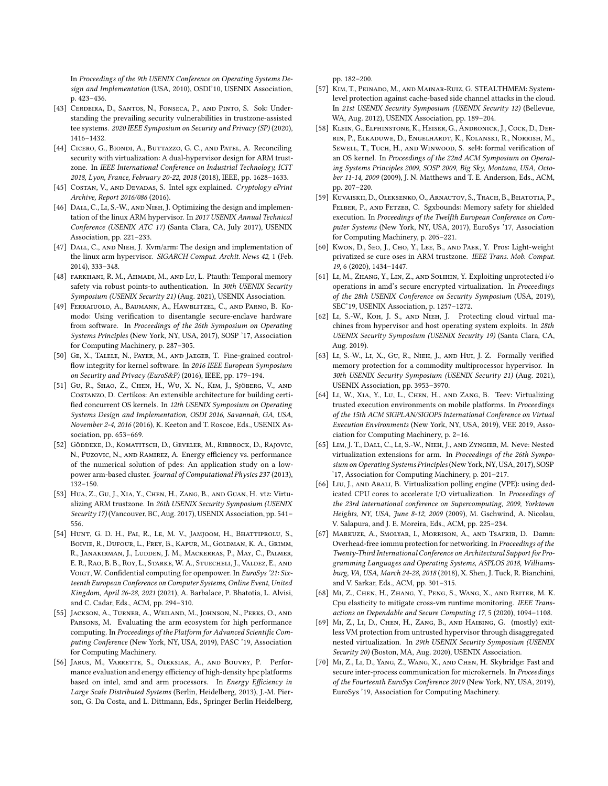In Proceedings of the 9th USENIX Conference on Operating Systems Design and Implementation (USA, 2010), OSDI'10, USENIX Association, p. 423–436.

- <span id="page-15-5"></span>[43] Cerdeira, D., Santos, N., Fonseca, P., and Pinto, S. Sok: Understanding the prevailing security vulnerabilities in trustzone-assisted tee systems. 2020 IEEE Symposium on Security and Privacy (SP) (2020), 1416–1432.
- <span id="page-15-25"></span>[44] Cicero, G., Biondi, A., Buttazzo, G. C., and Patel, A. Reconciling security with virtualization: A dual-hypervisor design for ARM trustzone. In IEEE International Conference on Industrial Technology, ICIT 2018, Lyon, France, February 20-22, 2018 (2018), IEEE, pp. 1628–1633.
- <span id="page-15-0"></span>[45] COSTAN, V., AND DEVADAS, S. Intel sgx explained. Cryptology ePrint Archive, Report 2016/086 (2016).
- <span id="page-15-8"></span>[46] DALL, C., LI, S.-W., AND NIEH, J. Optimizing the design and implementation of the linux ARM hypervisor. In 2017 USENIX Annual Technical Conference (USENIX ATC 17) (Santa Clara, CA, July 2017), USENIX Association, pp. 221–233.
- <span id="page-15-9"></span>[47] DALL, C., AND NIEH, J. Kvm/arm: The design and implementation of the linux arm hypervisor. SIGARCH Comput. Archit. News 42, 1 (Feb. 2014), 333–348.
- <span id="page-15-19"></span>[48] FARKHANI, R. M., AHMADI, M., AND LU, L. Ptauth: Temporal memory safety via robust points-to authentication. In 30th USENIX Security Symposium (USENIX Security 21) (Aug. 2021), USENIX Association.
- <span id="page-15-12"></span>[49] Ferraiuolo, A., Baumann, A., Hawblitzel, C., and Parno, B. Komodo: Using verification to disentangle secure-enclave hardware from software. In Proceedings of the 26th Symposium on Operating Systems Principles (New York, NY, USA, 2017), SOSP '17, Association for Computing Machinery, p. 287–305.
- <span id="page-15-18"></span>[50] Ge, X., Talele, N., Payer, M., and Jaeger, T. Fine-grained controlflow integrity for kernel software. In 2016 IEEE European Symposium on Security and Privacy (EuroS&P) (2016), IEEE, pp. 179–194.
- <span id="page-15-21"></span>[51] Gu, R., Shao, Z., Chen, H., Wu, X. N., Kim, J., Sjöberg, V., and Costanzo, D. Certikos: An extensible architecture for building certified concurrent OS kernels. In 12th USENIX Symposium on Operating Systems Design and Implementation, OSDI 2016, Savannah, GA, USA, November 2-4, 2016 (2016), K. Keeton and T. Roscoe, Eds., USENIX Association, pp. 653–669.
- <span id="page-15-2"></span>[52] Göddeke, D., Komatitsch, D., Geveler, M., Ribbrock, D., Rajovic, N., Puzovic, N., and Ramirez, A. Energy efficiency vs. performance of the numerical solution of pdes: An application study on a lowpower arm-based cluster. Journal of Computational Physics 237 (2013), 132–150.
- <span id="page-15-10"></span>[53] Hua, Z., Gu, J., Xia, Y., Chen, H., Zang, B., and Guan, H. vtz: Virtualizing ARM trustzone. In 26th USENIX Security Symposium (USENIX Security 17) (Vancouver, BC, Aug. 2017), USENIX Association, pp. 541– 556.
- <span id="page-15-1"></span>[54] HUNT, G. D. H., PAI, R., LE, M. V., JAMJOOM, H., BHATTIPROLU, S., Boivie, R., Dufour, L., Frey, B., Kapur, M., Goldman, K. A., Grimm, R., Janakirman, J., Ludden, J. M., Mackerras, P., May, C., Palmer, E. R., Rao, B. B., Roy, L., Starke, W. A., Stuecheli, J., Valdez, E., and VOIGT, W. Confidential computing for openpower. In EuroSys '21: Sixteenth European Conference on Computer Systems, Online Event, United Kingdom, April 26-28, 2021 (2021), A. Barbalace, P. Bhatotia, L. Alvisi, and C. Cadar, Eds., ACM, pp. 294–310.
- <span id="page-15-3"></span>[55] Jackson, A., Turner, A., Weiland, M., Johnson, N., Perks, O., and Parsons, M. Evaluating the arm ecosystem for high performance computing. In Proceedings of the Platform for Advanced Scientific Computing Conference (New York, NY, USA, 2019), PASC '19, Association for Computing Machinery.
- <span id="page-15-4"></span>[56] Jarus, M., Varrette, S., Oleksiak, A., and Bouvry, P. Performance evaluation and energy efficiency of high-density hpc platforms based on intel, amd and arm processors. In Energy Efficiency in Large Scale Distributed Systems (Berlin, Heidelberg, 2013), J.-M. Pierson, G. Da Costa, and L. Dittmann, Eds., Springer Berlin Heidelberg,

pp. 182–200.

- <span id="page-15-13"></span>[57] Kim, T., Peinado, M., and Mainar-Ruiz, G. STEALTHMEM: Systemlevel protection against cache-based side channel attacks in the cloud. In 21st USENIX Security Symposium (USENIX Security 12) (Bellevue, WA, Aug. 2012), USENIX Association, pp. 189–204.
- <span id="page-15-22"></span>[58] Klein, G., Elphinstone, K., Heiser, G., Andronick, J., Cock, D., Derrin, P., Elkaduwe, D., Engelhardt, K., Kolanski, R., Norrish, M., SEWELL, T., TUCH, H., AND WINWOOD, S. sel4: formal verification of an OS kernel. In Proceedings of the 22nd ACM Symposium on Operating Systems Principles 2009, SOSP 2009, Big Sky, Montana, USA, October 11-14, 2009 (2009), J. N. Matthews and T. E. Anderson, Eds., ACM, pp. 207–220.
- <span id="page-15-11"></span>[59] Kuvaiskii, D., Oleksenko, O., Arnautov, S., Trach, B., Bhatotia, P., Felber, P., and Fetzer, C. Sgxbounds: Memory safety for shielded execution. In Proceedings of the Twelfth European Conference on Computer Systems (New York, NY, USA, 2017), EuroSys '17, Association for Computing Machinery, p. 205–221.
- <span id="page-15-26"></span>[60] Kwon, D., Seo, J., Cho, Y., Lee, B., AND PAEK, Y. Pros: Light-weight privatized se cure oses in ARM trustzone. IEEE Trans. Mob. Comput. 19, 6 (2020), 1434–1447.
- <span id="page-15-6"></span>[61] LI, M., ZHANG, Y., LIN, Z., AND SOLIHIN, Y. Exploiting unprotected i/o operations in amd's secure encrypted virtualization. In Proceedings of the 28th USENIX Conference on Security Symposium (USA, 2019), SEC'19, USENIX Association, p. 1257–1272.
- <span id="page-15-24"></span>[62] LI, S.-W., KOH, J. S., AND NIEH, J. Protecting cloud virtual machines from hypervisor and host operating system exploits. In 28th USENIX Security Symposium (USENIX Security 19) (Santa Clara, CA, Aug. 2019).
- <span id="page-15-20"></span>[63] Li, S.-W., Li, X., Gu, R., Nieh, J., and Hui, J. Z. Formally verified memory protection for a commodity multiprocessor hypervisor. In 30th USENIX Security Symposium (USENIX Security 21) (Aug. 2021), USENIX Association, pp. 3953–3970.
- <span id="page-15-27"></span>[64] Li, W., Xia, Y., Lu, L., Chen, H., and Zang, B. Teev: Virtualizing trusted execution environments on mobile platforms. In Proceedings of the 15th ACM SIGPLAN/SIGOPS International Conference on Virtual Execution Environments (New York, NY, USA, 2019), VEE 2019, Association for Computing Machinery, p. 2–16.
- <span id="page-15-15"></span>[65] Lim, J. T., Dall, C., Li, S.-W., Nieh, J., and Zyngier, M. Neve: Nested virtualization extensions for arm. In Proceedings of the 26th Symposium on Operating Systems Principles (New York, NY, USA, 2017), SOSP '17, Association for Computing Machinery, p. 201–217.
- <span id="page-15-17"></span>[66] LIU, J., AND ABALI, B. Virtualization polling engine (VPE): using dedicated CPU cores to accelerate I/O virtualization. In Proceedings of the 23rd international conference on Supercomputing, 2009, Yorktown Heights, NY, USA, June 8-12, 2009 (2009), M. Gschwind, A. Nicolau, V. Salapura, and J. E. Moreira, Eds., ACM, pp. 225–234.
- <span id="page-15-23"></span>[67] Markuze, A., Smolyar, I., Morrison, A., and Tsafrir, D. Damn: Overhead-free iommu protection for networking. In Proceedings of the Twenty-Third International Conference on Architectural Support for Programming Languages and Operating Systems, ASPLOS 2018, Williamsburg, VA, USA, March 24-28, 2018 (2018), X. Shen, J. Tuck, R. Bianchini, and V. Sarkar, Eds., ACM, pp. 301–315.
- <span id="page-15-14"></span>[68] Mi, Z., Chen, H., Zhang, Y., Peng, S., Wang, X., and Reiter, M. K. Cpu elasticity to mitigate cross-vm runtime monitoring. IEEE Transactions on Dependable and Secure Computing 17, 5 (2020), 1094–1108.
- <span id="page-15-7"></span>[69] Mi, Z., Li, D., Chen, H., Zang, B., and Haibing, G. (mostly) exitless VM protection from untrusted hypervisor through disaggregated nested virtualization. In 29th USENIX Security Symposium (USENIX Security 20) (Boston, MA, Aug. 2020), USENIX Association.
- <span id="page-15-16"></span>[70] Mi, Z., Li, D., Yang, Z., Wang, X., and Chen, H. Skybridge: Fast and secure inter-process communication for microkernels. In Proceedings of the Fourteenth EuroSys Conference 2019 (New York, NY, USA, 2019), EuroSys '19, Association for Computing Machinery.